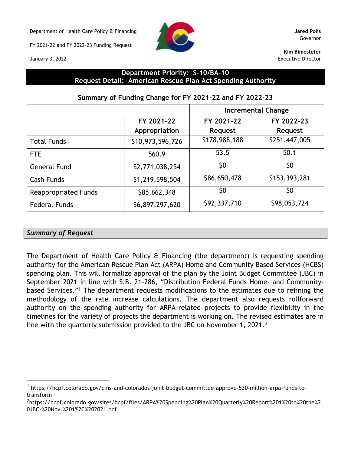Department of Health Care Policy & Financing **Jared Polis**

FY 2021-22 and FY 2022-23 Funding Request



Governor

**Kim Bimestefer** Executive Director

January 3, 2022

# **Department Priority: S-10/BA-10 Request Detail: American Rescue Plan Act Spending Authority**

|                             | Summary of Funding Change for FY 2021-22 and FY 2022-23 |                |                           |
|-----------------------------|---------------------------------------------------------|----------------|---------------------------|
|                             |                                                         |                | <b>Incremental Change</b> |
|                             | FY 2021-22                                              | FY 2021-22     | FY 2022-23                |
|                             | Appropriation                                           | <b>Request</b> | <b>Request</b>            |
| <b>Total Funds</b>          | \$10,973,596,726                                        | \$178,988,188  | \$251,447,005             |
| <b>FTE</b>                  | 560.9                                                   | 53.5           | 50.1                      |
| <b>General Fund</b>         | \$2,771,038,254                                         | \$0            | \$0                       |
| <b>Cash Funds</b>           | \$1,219,598,504                                         | \$86,650,478   | \$153,393,281             |
| <b>Reappropriated Funds</b> | \$85,662,348                                            | \$0            | \$0                       |
| <b>Federal Funds</b>        | \$6,897,297,620                                         | \$92,337,710   | \$98,053,724              |

# *Summary of Request*

The Department of Health Care Policy & Financing (the department) is requesting spending authority for the American Rescue Plan Act (ARPA) Home and Community Based Services (HCBS) spending plan. This will formalize approval of the plan by the Joint Budget Committee (JBC) in September 2021 in line with S.B. 21-286, "Distribution Federal Funds Home- and Communitybased Services."<sup>1</sup> The department requests modifications to the estimates due to refining the methodology of the rate increase calculations. The department also requests rollforward authority on the spending authority for ARPA-related projects to provide flexibility in the timelines for the variety of projects the department is working on. The revised estimates are in line with the quarterly submission provided to the JBC on November 1, 2021.<sup>2</sup>

<sup>1</sup> [https://hcpf.colorado.gov/cms-and-colorados-joint-budget-committee-approve-530-million-arpa-funds-to](https://hcpf.colorado.gov/cms-and-colorados-joint-budget-committee-approve-530-million-arpa-funds-to-transform)[transform](https://hcpf.colorado.gov/cms-and-colorados-joint-budget-committee-approve-530-million-arpa-funds-to-transform)

<sup>2</sup>[https://hcpf.colorado.gov/sites/hcpf/files/ARPA%20Spending%20Plan%20Quarterly%20Report%201%20to%20the%2](https://hcpf.colorado.gov/sites/hcpf/files/ARPA%20Spending%20Plan%20Quarterly%20Report%201%20to%20the%20JBC-%20Nov.%201%2C%202021.pdf) [0JBC-%20Nov.%201%2C%202021.pdf](https://hcpf.colorado.gov/sites/hcpf/files/ARPA%20Spending%20Plan%20Quarterly%20Report%201%20to%20the%20JBC-%20Nov.%201%2C%202021.pdf)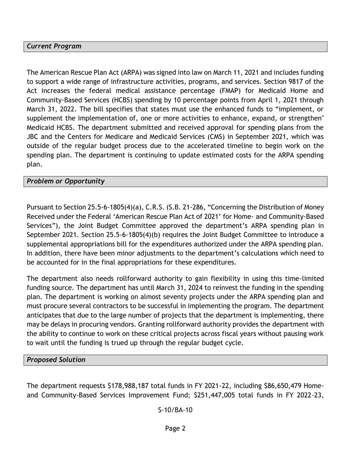# *Current Program*

The American Rescue Plan Act (ARPA) was signed into law on March 11, 2021 and includes funding to support a wide range of infrastructure activities, programs, and services. Section 9817 of the Act increases the federal medical assistance percentage (FMAP) for Medicaid Home and Community-Based Services (HCBS) spending by 10 percentage points from April 1, 2021 through March 31, 2022. The bill specifies that states must use the enhanced funds to "implement, or supplement the implementation of, one or more activities to enhance, expand, or strengthen'' Medicaid HCBS. The department submitted and received approval for spending plans from the JBC and the Centers for Medicare and Medicaid Services (CMS) in September 2021, which was outside of the regular budget process due to the accelerated timeline to begin work on the spending plan. The department is continuing to update estimated costs for the ARPA spending plan.

## *Problem or Opportunity*

Pursuant to Section 25.5-6-1805(4)(a), C.R.S. (S.B. 21-286, "Concerning the Distribution of Money Received under the Federal 'American Rescue Plan Act of 2021' for Home- and Community-Based Services"), the Joint Budget Committee approved the department's ARPA spending plan in September 2021. Section 25.5-6-1805(4)(b) requires the Joint Budget Committee to introduce a supplemental appropriations bill for the expenditures authorized under the ARPA spending plan. In addition, there have been minor adjustments to the department's calculations which need to be accounted for in the final appropriations for these expenditures.

The department also needs rollforward authority to gain flexibility in using this time-limited funding source. The department has until March 31, 2024 to reinvest the funding in the spending plan. The department is working on almost seventy projects under the ARPA spending plan and must procure several contractors to be successful in implementing the program. The department anticipates that due to the large number of projects that the department is implementing, there may be delays in procuring vendors. Granting rollforward authority provides the department with the ability to continue to work on these critical projects across fiscal years without pausing work to wait until the funding is trued up through the regular budget cycle.

## *Proposed Solution*

The department requests \$178,988,187 total funds in FY 2021-22, including \$86,650,479 Homeand Community-Based Services Improvement Fund; \$251,447,005 total funds in FY 2022-23,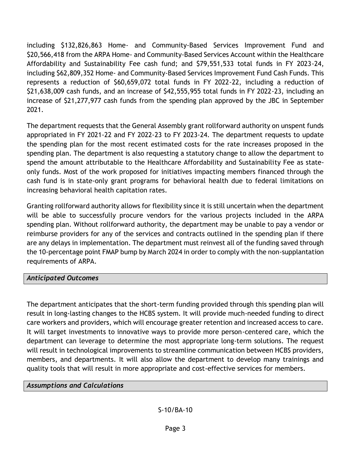including \$132,826,863 Home- and Community-Based Services Improvement Fund and \$20,566,418 from the ARPA Home- and Community-Based Services Account within the Healthcare Affordability and Sustainability Fee cash fund; and \$79,551,533 total funds in FY 2023-24, including \$62,809,352 Home- and Community-Based Services Improvement Fund Cash Funds. This represents a reduction of \$60,659,072 total funds in FY 2022-22, including a reduction of \$21,638,009 cash funds, and an increase of \$42,555,955 total funds in FY 2022-23, including an increase of \$21,277,977 cash funds from the spending plan approved by the JBC in September 2021.

The department requests that the General Assembly grant rollforward authority on unspent funds appropriated in FY 2021-22 and FY 2022-23 to FY 2023-24. The department requests to update the spending plan for the most recent estimated costs for the rate increases proposed in the spending plan. The department is also requesting a statutory change to allow the department to spend the amount attributable to the Healthcare Affordability and Sustainability Fee as stateonly funds. Most of the work proposed for initiatives impacting members financed through the cash fund is in state-only grant programs for behavioral health due to federal limitations on increasing behavioral health capitation rates.

Granting rollforward authority allows for flexibility since it is still uncertain when the department will be able to successfully procure vendors for the various projects included in the ARPA spending plan. Without rollforward authority, the department may be unable to pay a vendor or reimburse providers for any of the services and contracts outlined in the spending plan if there are any delays in implementation. The department must reinvest all of the funding saved through the 10-percentage point FMAP bump by March 2024 in order to comply with the non-supplantation requirements of ARPA.

# *Anticipated Outcomes*

The department anticipates that the short-term funding provided through this spending plan will result in long-lasting changes to the HCBS system. It will provide much-needed funding to direct care workers and providers, which will encourage greater retention and increased access to care. It will target investments to innovative ways to provide more person-centered care, which the department can leverage to determine the most appropriate long-term solutions. The request will result in technological improvements to streamline communication between HCBS providers, members, and departments. It will also allow the department to develop many trainings and quality tools that will result in more appropriate and cost-effective services for members.

# *Assumptions and Calculations*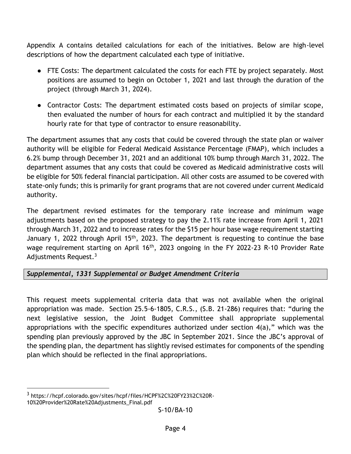Appendix A contains detailed calculations for each of the initiatives. Below are high-level descriptions of how the department calculated each type of initiative.

- FTE Costs: The department calculated the costs for each FTE by project separately. Most positions are assumed to begin on October 1, 2021 and last through the duration of the project (through March 31, 2024).
- Contractor Costs: The department estimated costs based on projects of similar scope, then evaluated the number of hours for each contract and multiplied it by the standard hourly rate for that type of contractor to ensure reasonability.

The department assumes that any costs that could be covered through the state plan or waiver authority will be eligible for Federal Medicaid Assistance Percentage (FMAP), which includes a 6.2% bump through December 31, 2021 and an additional 10% bump through March 31, 2022. The department assumes that any costs that could be covered as Medicaid administrative costs will be eligible for 50% federal financial participation. All other costs are assumed to be covered with state-only funds; this is primarily for grant programs that are not covered under current Medicaid authority.

The department revised estimates for the temporary rate increase and minimum wage adjustments based on the proposed strategy to pay the 2.11% rate increase from April 1, 2021 through March 31, 2022 and to increase rates for the \$15 per hour base wage requirement starting January 1, 2022 through April 15<sup>th</sup>, 2023. The department is requesting to continue the base wage requirement starting on April 16<sup>th</sup>, 2023 ongoing in the FY 2022-23 R-10 Provider Rate Adjustments Request.<sup>3</sup>

# *Supplemental, 1331 Supplemental or Budget Amendment Criteria*

This request meets supplemental criteria data that was not available when the original appropriation was made. Section 25.5-6-1805, C.R.S., (S.B. 21-286) requires that: "during the next legislative session, the Joint Budget Committee shall appropriate supplemental appropriations with the specific expenditures authorized under section 4(a)," which was the spending plan previously approved by the JBC in September 2021. Since the JBC's approval of the spending plan, the department has slightly revised estimates for components of the spending plan which should be reflected in the final appropriations.

<sup>3</sup> https://hcpf.colorado.gov/sites/hcpf/files/HCPF%2C%20FY23%2C%20R-10%20Provider%20Rate%20Adjustments\_Final.pdf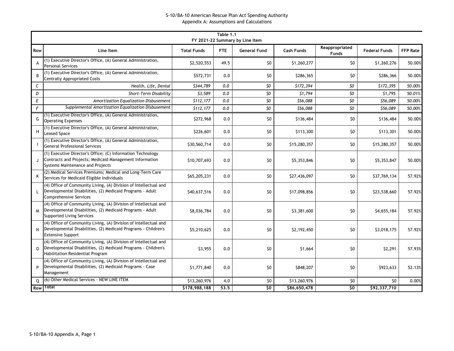|                  |                                                                                                                                                                        |                    | Table 1.1 | FY 2021-22 Summary by Line Item                  |              |                                |                      |                 |
|------------------|------------------------------------------------------------------------------------------------------------------------------------------------------------------------|--------------------|-----------|--------------------------------------------------|--------------|--------------------------------|----------------------|-----------------|
| Row              | Line Item                                                                                                                                                              | <b>Total Funds</b> | FTE       | <b>General Fund</b>                              | Cash Funds   | Reappropriated<br><b>Funds</b> | <b>Federal Funds</b> | <b>FFP Rate</b> |
| A                | (1) Executive Director's Office, (A) General Administration,<br><b>Personal Services</b>                                                                               | \$2,520,553        | 49.5      | \$0                                              | \$1,260,277  | \$0                            | \$1,260,276          | 50.00%          |
| B <sub>1</sub>   | (1) Executive Director's Office, (A) General Administration,<br><b>Centrally Appropriated Costs</b>                                                                    | \$572,731          | 0.0       | \$0                                              | \$286,365    | \$0                            | \$286,366            | 50.00%          |
| C                | Health, Life, Dental                                                                                                                                                   | \$344,789          | 0.0       | SO                                               | \$172,394    | SO                             | \$172,395            | 50.00%          |
| D                | Short-Term Disability                                                                                                                                                  | \$3,589            | 0.0       | \$0                                              | \$1,794      | \$0                            | \$1,795              | 50.01%          |
| $\boldsymbol{E}$ | Amortization Equalization Disbusement                                                                                                                                  | \$112,177          | 0.0       | $\boldsymbol{\mathsf{S}}\boldsymbol{\mathsf{O}}$ | \$56,088     | $\mathfrak{z}_0$               | \$56,089             | 50.00%          |
| $\mathsf{F}$     | Supplemental Amortization Equalization Disbusement                                                                                                                     | \$112,177          | 0.0       | \$0                                              | \$56,088     | 50                             | \$56,089             | 50.00%          |
| G                | (1) Executive Director's Office, (A) General Administration,<br><b>Operating Expenses</b>                                                                              | \$272,968          | 0.0       | \$0                                              | \$136,484    | \$0                            | \$136,484            | 50.00%          |
| н                | (1) Executive Director's Office, (A) General Administration,<br><b>Leased Space</b>                                                                                    | \$226,601          | 0.0       | \$0                                              | \$113,300    | \$0                            | \$113,301            | 50.00%          |
|                  | (1) Executive Director's Office, (A) General Administration,<br><b>General Professional Services</b>                                                                   | \$30,560,714       | 0.0       | \$0                                              | \$15,280,357 | \$0                            | \$15,280,357         | 50.00%          |
|                  | (1) Executive Director's Office; (C) Information Technology<br>Contracts and Projects; Medicaid Management Information<br>Systems Maintenance and Projects             | \$10,707,693       | 0.0       | \$0                                              | \$5,353,846  | \$0                            | \$5,353,847          | 50.00%          |
| Κ                | (2) Medical Services Premiums; Medical and Long-Term Care<br>Services for Medicaid Eligible Individuals                                                                | \$65,205,231       | 0.0       | \$0                                              | \$27,436,097 | \$0                            | \$37,769,134         | 57.92%          |
| L                | (4) Office of Community Living, (A) Division of Intellectual and<br>Developmental Disabilities, (2) Medicaid Programs - Adult<br>Comprehensive Services                | \$40,637,516       | 0.0       | \$0                                              | \$17,098,856 | \$0                            | \$23,538,660         | 57.92%          |
| M                | (4) Office of Community Living, (A) Division of Intellectual and<br>Developmental Disabilities, (2) Medicaid Programs - Adult<br><b>Supported Living Services</b>      | \$8,036,784        | 0.0       | \$0                                              | \$3,381,600  | \$0                            | \$4,655,184          | 57.92%          |
| N                | (4) Office of Community Living, (A) Division of Intellectual and<br>Developmental Disabilities, (2) Medicaid Programs - Children's<br><b>Extensive Support</b>         | \$5,210,625        | 0.0       | \$0                                              | \$2,192,450  | \$0                            | \$3,018,175          | 57.92%          |
| $\Omega$         | (4) Office of Community Living, (A) Division of Intellectual and<br>Developmental Disabilities, (2) Medicaid Programs - Children's<br>Habilitation Residential Program | \$3,955            | 0.0       | \$0                                              | \$1,664      | \$0                            | \$2,291              | 57.93%          |
| P                | (4) Office of Community Living, (A) Division of Intellectual and<br>Developmental Disabilities, (2) Medicaid Programs - Case<br>Management                             | \$1,771,840        | 0.0       | \$0                                              | \$848,207    | \$0                            | \$923,633            | 52.13%          |
| 0                | (6) Other Medical Services - NEW LINE ITEM                                                                                                                             | \$13,260,976       | 4.0       | \$0                                              | \$13,260,976 | \$0                            | \$0                  | 0.00%           |
| Row              | Total                                                                                                                                                                  | \$178,988,188      | 53.5      | 50                                               | \$86,650,478 | 50                             | \$92,337,710         |                 |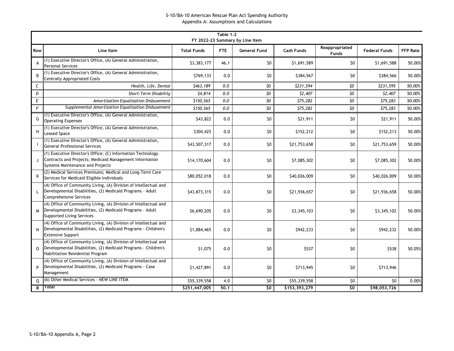|                  |                                                                                                                                                                        |                    | Table 1.2 | FY 2022-23 Summary by Line Item                  |               |                                |                      |                 |
|------------------|------------------------------------------------------------------------------------------------------------------------------------------------------------------------|--------------------|-----------|--------------------------------------------------|---------------|--------------------------------|----------------------|-----------------|
| Row              | Line Item                                                                                                                                                              | <b>Total Funds</b> | FTE       | <b>General Fund</b>                              | Cash Funds    | Reappropriated<br><b>Funds</b> | <b>Federal Funds</b> | <b>FFP Rate</b> |
| A                | (1) Executive Director's Office, (A) General Administration,<br><b>Personal Services</b>                                                                               | \$3,383,177        | 46.1      | \$0                                              | \$1,691,589   | \$0                            | \$1,691,588          | 50.00%          |
| B <sub>1</sub>   | (1) Executive Director's Office, (A) General Administration,<br><b>Centrally Appropriated Costs</b>                                                                    | \$769,133          | 0.0       | \$0                                              | \$384,567     | \$0                            | \$384,566            | 50.00%          |
| C                | Health, Life, Dental                                                                                                                                                   | \$463,189          | 0.0       | SO                                               | \$231,594     | SO                             | \$231,595            | 50.00%          |
| D                | Short-Term Disability                                                                                                                                                  | \$4,814            | 0.0       | \$0                                              | \$2,407       | \$0                            | \$2,407              | 50.00%          |
| $\boldsymbol{E}$ | Amortization Equalization Disbusement                                                                                                                                  | \$150,565          | 0.0       | $\boldsymbol{\mathsf{S}}\boldsymbol{\mathsf{O}}$ | \$75,282      | $\mathfrak{z}_0$               | \$75,283             | 50.00%          |
| $\mathsf{F}$     | Supplemental Amortization Equalization Disbusement                                                                                                                     | \$150,565          | 0.0       | \$0                                              | \$75,282      | $\mathsf{S}$                   | \$75,283             | 50.00%          |
| G                | (1) Executive Director's Office, (A) General Administration,<br><b>Operating Expenses</b>                                                                              | \$43,822           | 0.0       | \$0                                              | \$21,911      | \$0                            | \$21,911             | 50.00%          |
| н                | (1) Executive Director's Office, (A) General Administration,<br><b>Leased Space</b>                                                                                    | \$304,425          | 0.0       | \$0                                              | \$152,212     | \$0                            | \$152,213            | 50.00%          |
|                  | (1) Executive Director's Office, (A) General Administration,<br><b>General Professional Services</b>                                                                   | \$43,507,317       | 0.0       | \$0                                              | \$21,753,658  | \$0                            | \$21,753,659         | 50.00%          |
|                  | (1) Executive Director's Office; (C) Information Technology<br>Contracts and Projects; Medicaid Management Information<br>Systems Maintenance and Projects             | \$14,170,604       | 0.0       | \$0                                              | \$7,085,302   | \$0                            | \$7,085,302          | 50.00%          |
| Κ                | (2) Medical Services Premiums; Medical and Long-Term Care<br>Services for Medicaid Eligible Individuals                                                                | \$80,052,018       | 0.0       | \$0                                              | \$40,026,009  | \$0                            | \$40,026,009         | 50.00%          |
| L                | (4) Office of Community Living, (A) Division of Intellectual and<br>Developmental Disabilities, (2) Medicaid Programs - Adult<br>Comprehensive Services                | \$43,873,315       | 0.0       | \$0                                              | \$21,936,657  | \$0                            | \$21,936,658         | 50.00%          |
| M                | (4) Office of Community Living, (A) Division of Intellectual and<br>Developmental Disabilities, (2) Medicaid Programs - Adult<br><b>Supported Living Services</b>      | \$6,690,205        | 0.0       | \$0                                              | \$3,345,103   | \$0                            | \$3,345,102          | 50.00%          |
| N                | (4) Office of Community Living, (A) Division of Intellectual and<br>Developmental Disabilities, (2) Medicaid Programs - Children's<br><b>Extensive Support</b>         | \$1,884,465        | 0.0       | \$0                                              | \$942,233     | \$0                            | \$942,232            | 50.00%          |
| $\Omega$         | (4) Office of Community Living, (A) Division of Intellectual and<br>Developmental Disabilities, (2) Medicaid Programs - Children's<br>Habilitation Residential Program | \$1,075            | 0.0       | \$0                                              | \$537         | \$0                            | \$538                | 50.05%          |
| P                | (4) Office of Community Living, (A) Division of Intellectual and<br>Developmental Disabilities, (2) Medicaid Programs - Case<br>Management                             | \$1,427,891        | 0.0       | \$0                                              | \$713,945     | \$0                            | \$713,946            |                 |
| Q                | (6) Other Medical Services - NEW LINE ITEM                                                                                                                             | \$55,339,558       | 4.0       | \$0                                              | \$55,339,558  | \$0                            | \$0                  | 0.00%           |
| R                | Total                                                                                                                                                                  | \$251,447,005      | 50.1      | 50                                               | \$153,393,279 | 50                             | \$98,053,726         |                 |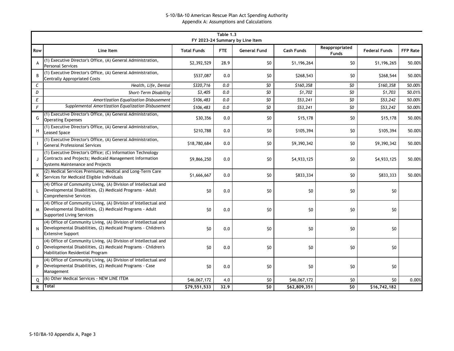|              |                                                                                                                                                                        |                    | Table 1.3 | FY 2023-24 Summary by Line Item |                   |                                |                      |                 |
|--------------|------------------------------------------------------------------------------------------------------------------------------------------------------------------------|--------------------|-----------|---------------------------------|-------------------|--------------------------------|----------------------|-----------------|
| Row          | Line Item                                                                                                                                                              | <b>Total Funds</b> | FTE.      | <b>General Fund</b>             | <b>Cash Funds</b> | Reappropriated<br><b>Funds</b> | <b>Federal Funds</b> | <b>FFP Rate</b> |
| A            | (1) Executive Director's Office, (A) General Administration,<br><b>Personal Services</b>                                                                               | \$2,392,529        | 28.9      | \$0                             | \$1,196,264       | \$0                            | \$1,196,265          | 50.00%          |
| B            | (1) Executive Director's Office, (A) General Administration,<br><b>Centrally Appropriated Costs</b>                                                                    | \$537,087          | 0.0       | \$0                             | \$268,543         | \$0                            | \$268,544            | 50.00%          |
| C            | Health, Life, Dental                                                                                                                                                   | \$320,716          | 0.0       | \$O                             | \$160,358         | \$O                            | \$160,358            | 50.00%          |
| D            | Short-Term Disability                                                                                                                                                  | \$3,405            | 0.0       | \$O                             | \$1,702           | 50                             | \$1,703              | 50.01%          |
| E            | Amortization Equalization Disbusement                                                                                                                                  | \$106,483          | 0.0       | \$O                             | \$53,241          | SO                             | \$53,242             | 50.00%          |
| $\sqrt{F}$   | Supplemental Amortization Equalization Disbusement                                                                                                                     | \$106,483          | 0.0       | \$0                             | \$53,241          | $\mathfrak{z}_0$               | \$53,242             | 50.00%          |
| G            | (1) Executive Director's Office, (A) General Administration,<br><b>Operating Expenses</b>                                                                              | \$30,356           | 0.0       | \$0                             | \$15,178          | \$0                            | \$15,178             | 50.00%          |
| Н            | (1) Executive Director's Office, (A) General Administration,<br><b>Leased Space</b>                                                                                    | \$210,788          | 0.0       | \$0                             | \$105,394         | \$0                            | \$105,394            | 50.00%          |
|              | (1) Executive Director's Office, (A) General Administration,<br><b>General Professional Services</b>                                                                   | \$18,780,684       | 0.0       | \$0                             | \$9,390,342       | \$0                            | \$9,390,342          | 50.00%          |
|              | (1) Executive Director's Office; (C) Information Technology<br>Contracts and Projects; Medicaid Management Information<br>Systems Maintenance and Projects             | \$9,866,250        | 0.0       | \$0                             | \$4,933,125       | \$0                            | \$4,933,125          | 50.00%          |
| Κ            | (2) Medical Services Premiums; Medical and Long-Term Care<br>Services for Medicaid Eligible Individuals                                                                | \$1,666,667        | 0.0       | \$0                             | \$833,334         | \$0                            | \$833,333            | 50.00%          |
| $\mathbf{L}$ | (4) Office of Community Living, (A) Division of Intellectual and<br>Developmental Disabilities, (2) Medicaid Programs - Adult<br><b>Comprehensive Services</b>         | \$0                | 0.0       | \$0                             | \$0               | \$0                            | \$0                  |                 |
| M            | (4) Office of Community Living, (A) Division of Intellectual and<br>Developmental Disabilities, (2) Medicaid Programs - Adult<br><b>Supported Living Services</b>      | \$0                | 0.0       | \$0                             | \$0               | \$0                            | \$0                  |                 |
| N            | (4) Office of Community Living, (A) Division of Intellectual and<br>Developmental Disabilities, (2) Medicaid Programs - Children's<br><b>Extensive Support</b>         | \$0                | 0.0       | \$0                             | \$0               | \$0                            | \$0                  |                 |
| $\Omega$     | (4) Office of Community Living, (A) Division of Intellectual and<br>Developmental Disabilities, (2) Medicaid Programs - Children's<br>Habilitation Residential Program | \$0                | 0.0       | \$0                             | \$0               | \$0                            | \$0                  |                 |
| P            | (4) Office of Community Living, (A) Division of Intellectual and<br>Developmental Disabilities, (2) Medicaid Programs - Case<br>Management                             | \$0                | 0.0       | \$0                             | \$0               | \$0                            | \$0                  |                 |
| O            | (6) Other Medical Services - NEW LINE ITEM                                                                                                                             | \$46,067,172       | 4.0       | \$0                             | \$46,067,172      | \$0                            | \$0                  | 0.00%           |
| R            | Total                                                                                                                                                                  | \$79,551,533       | 32.9      | \$0                             | \$62,809,351      | $\overline{50}$                | \$16,742,182         |                 |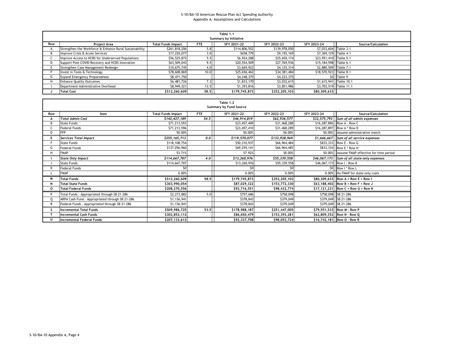|     | Table 1.1<br>Summary by Initiative                                                                                                |               |      |               |               |                        |                        |  |  |  |  |  |  |  |
|-----|-----------------------------------------------------------------------------------------------------------------------------------|---------------|------|---------------|---------------|------------------------|------------------------|--|--|--|--|--|--|--|
| Row | <b>Total Funds Impact</b><br>Source/Calculation<br>SFY 2021-22<br>SFY 2023-24<br><b>Project Area</b><br>SFY 2022-23<br><b>FTE</b> |               |      |               |               |                        |                        |  |  |  |  |  |  |  |
|     | Strengthen the Workforce & Enhance Rural Sustainability                                                                           | \$261,818,206 | 5.8  | \$114,806,552 | \$139,978,050 | \$7,033,604 Table 3.1  |                        |  |  |  |  |  |  |  |
|     | Improve Crisis & Acute Services                                                                                                   | \$17,220,077  | 3.0  | \$658,779     | \$9,192,169   | \$7,369,129 Table 4.1  |                        |  |  |  |  |  |  |  |
|     | Improve Access to HCBS for Underserved Populations                                                                                | \$56,525,872  | 5.5  | \$6,924,288   | \$25,650,174  | \$23,951,410 Table 5.1 |                        |  |  |  |  |  |  |  |
|     | Support Post-COVID Recovery and HCBS Innovation                                                                                   | \$63,509,043  | 9.5  | \$20,554,509  | \$27,769,936  | \$15,184,598 Table 6.1 |                        |  |  |  |  |  |  |  |
|     | Strengthen Case Management Redesign                                                                                               | \$10,675,745  | 4.0  | \$3,669,922   | \$4,125,314   | \$2,880,509 Table 7.1  |                        |  |  |  |  |  |  |  |
|     | Invest in Tools & Technology                                                                                                      | \$78,608,869  | 10.0 | \$25,656,462  | \$34,381,484  | \$18,570,923 Table 8.1 |                        |  |  |  |  |  |  |  |
| G   | <b>Expand Emergency Preparedness</b>                                                                                              | \$8,471,750   |      | \$4,248,375   | \$4,223,375   |                        | \$0 Table 9            |  |  |  |  |  |  |  |
|     | <b>Enhance Quality Outcomes</b>                                                                                                   | \$6,481,726   | 7.3  | \$1,833,170   | \$3,032,615   |                        | \$1,615,941 Table 10.1 |  |  |  |  |  |  |  |
|     | Department Administrative Overhead                                                                                                | \$8,949,321   | 13.5 | \$1,393,816   | \$3,851,986   | \$3,703,519 Table 11.1 |                        |  |  |  |  |  |  |  |
|     | <b>Total Cost</b>                                                                                                                 | \$512,260,609 | 58.5 | \$179,745,873 | \$252,205,103 | \$80,309,633           |                        |  |  |  |  |  |  |  |

|     |                                                 |                           |      | Table 1.2<br>Summary by Fund Source |               |             |                                              |
|-----|-------------------------------------------------|---------------------------|------|-------------------------------------|---------------|-------------|----------------------------------------------|
| Row | Item                                            | <b>Total Funds Impact</b> | FTE  | SFY 2021-22                         | SFY 2022-23   | SFY 2023-24 | Source/Calculation                           |
|     | <b>Total Admin Cost</b>                         | \$142,427,189             | 54.5 | \$46,914,819                        | \$62,936,577  |             | $$32,575,793$ Sum of all admin expenses      |
|     | <b>State Funds</b>                              | \$71,213,593              |      | \$23,457,409                        | \$31,468,288  |             | \$16,287,896 Row A - Row C                   |
|     | <b>Federal Funds</b>                            | \$71,213,596              |      | \$23,457,410                        | \$31,468,289  |             | \$16,287,897 Row A * Row D                   |
| D.  | <b>FFP</b>                                      | 50.00%                    |      | 50.00%                              | 50.00%        |             | 50.00% Assume administrative match           |
|     | <b>Services Total Impact</b>                    | \$255,165,713             | 0.0  | \$119,570,077                       | \$133,928,969 |             | \$1,666,667 Sum of all service expenses      |
|     | <b>State Funds</b>                              | \$118,108,754             |      | \$50,310,937                        | \$66,964,484  |             | \$833,333 Row E - Row G                      |
| G   | <b>Federal Funds</b>                            | \$137,056,960             |      | \$69,259,141                        | \$66,964,485  |             | \$833,334 Row E * Row H                      |
| н   | <b>FMAP</b>                                     | 53.71%                    |      | 57.92%                              | 50.00%        |             | 50.00% Assume FMAP effective for time period |
|     | <b>State Only Impact</b>                        | \$114,667,707             | 4.0  | \$13,260,976                        | \$55,339,558  |             | \$46,067,173 Sum of all state-only expenses  |
|     | <b>State Funds</b>                              | \$114,667,707             |      | \$13,260,976                        | \$55,339,558  |             | \$46,067,173 Row I - Row K                   |
|     | <b>Federal Funds</b>                            | \$0                       |      | \$0                                 | \$0           | SO.         | Row I * Row L                                |
|     | <b>FMAP</b>                                     | 0.00%                     |      | 0.00%                               | 0.00%         |             | 0.00% No FMAP for state-only costs           |
|     | <b>Total Funds</b>                              | \$512,260,609             | 58.5 | \$179,745,873                       | \$252,205,103 |             | $$80,309,633$ Row A + Row E + Row I          |
|     | <b>Total State Funds</b>                        | \$303,990,054             |      | \$87,029,322                        | \$153,772,330 |             | $$63,188,402$ Row B + Row F + Row J          |
| 0   | <b>Total Federal Funds</b>                      | \$208,270,556             |      | \$92,716,551                        | \$98,432,774  |             | \$17,121,231 Row C + Row G + Row K           |
| D   | Total Funds - Appropriated through SB 21-286    | \$2,273,882               | 5.0  | \$757,686                           | \$758,098     |             | \$758,098 SB 21-286                          |
|     | ARPA Cash Fund - Appropriated through SB 21-286 | \$1,136,941               |      | \$378,843                           | \$379,049     | \$379,049   | SB 21-286                                    |
|     | Federal Funds - Appropriated through SB 21-286  | \$1,136,941               |      | \$378,843                           | \$379,049     |             | \$379,049 SB 21-286                          |
|     | <b>Incremental Total Funds</b>                  | \$509,986,725             | 53.5 | \$178,988,187                       | \$251,447,005 |             | \$79,551,533 Row M - Row P                   |
|     | <b>Incremental Cash Funds</b>                   | \$302,853,112             |      | \$86,650,479                        | \$153,393,281 |             | \$62,809,352 Row N - Row Q                   |
|     | <b>Incremental Federal Funds</b>                | \$207,133,613             |      | \$92,337,708                        | \$98,053,724  |             | \$16,742,181 Row O - Row R                   |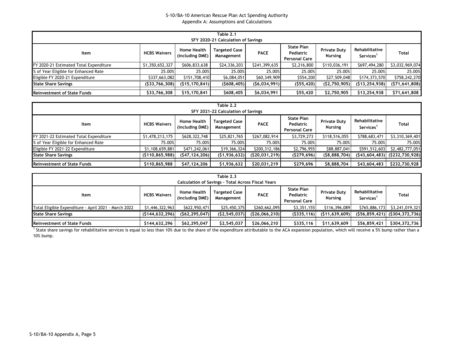| Table 2.1<br>SFY 2020-21 Calculation of Savings |                     |                                       |                                    |               |                                                 |                                       |                                         |                 |  |  |  |
|-------------------------------------------------|---------------------|---------------------------------------|------------------------------------|---------------|-------------------------------------------------|---------------------------------------|-----------------------------------------|-----------------|--|--|--|
| ltem                                            | <b>HCBS Waivers</b> | <b>Home Health</b><br>(including DME) | <b>Targeted Case</b><br>Management | <b>PACE</b>   | <b>State Plan</b><br>Pediatric<br>Personal Care | <b>Private Duty</b><br><b>Nursing</b> | Rehabilitative<br>Services <sup>1</sup> | Total           |  |  |  |
| FY 2020-21 Estimated Total Expenditure          | \$1,350,652,327     | \$606,833,638                         | \$24,336,203                       | \$241,399,635 | \$2,216,800                                     | \$110,036,191                         | \$697,494,280                           | \$3,032,969,074 |  |  |  |
| % of Year Eligible for Enhanced Rate            | 25.00%              | 25.00%                                | 25.00%                             | 25.00%        | 25.00%                                          | 25.00%                                | 25.00%                                  | 25.00%          |  |  |  |
| Eligible FY 2020-21 Expenditure                 | \$337,663,082       | \$151,708,410                         | \$6,084,051                        | \$60,349,909  | \$554,200                                       | \$27,509,048                          | \$174,373,570                           | \$758,242,270   |  |  |  |
| <b>State Share Savings</b>                      | ( \$33,766,308)     | (S15.170.841)                         | (5608, 405)                        | (56,034,991)  | (555, 420)                                      | (S2,750,905)                          | (513, 254, 938)                         | (571, 641, 808) |  |  |  |
| <b>Reinvestment of State Funds</b>              | \$33,766,308        | \$15,170,841                          | \$608,405                          | \$6,034,991   | \$55,420                                        | \$2,750,905                           | \$13,254,938                            | \$71,641,808    |  |  |  |

|                                        | Table 2.2<br>SFY 2021-22 Calculation of Savings |                                       |                                    |                 |                                                        |                                       |                                         |                                      |  |  |  |  |
|----------------------------------------|-------------------------------------------------|---------------------------------------|------------------------------------|-----------------|--------------------------------------------------------|---------------------------------------|-----------------------------------------|--------------------------------------|--|--|--|--|
| ltem                                   | <b>HCBS Waivers</b>                             | <b>Home Health</b><br>(including DME) | <b>Targeted Case</b><br>Management | <b>PACE</b>     | <b>State Plan</b><br>Pediatric<br><b>Personal Care</b> | <b>Private Duty</b><br><b>Nursing</b> | Rehabilitative<br>Services <sup>1</sup> | Total                                |  |  |  |  |
| FY 2021-22 Estimated Total Expenditure | \$1,478,213,175                                 | \$628,322,748                         | \$25,821,765                       | \$267,082,914   | \$3,729,273                                            | \$118,516,055                         | \$788,683,471                           | \$3,310,369,401                      |  |  |  |  |
| % of Year Eligible for Enhanced Rate   | 75.00%                                          | 75.00%                                | 75.00%                             | 75.00%          | 75.00%                                                 | 75.00%                                | 75.00%                                  | 75.00%                               |  |  |  |  |
| Eligible FY 2021-22 Expenditure        | \$1,108,659,881                                 | \$471,242,061                         | \$19,366,324                       | \$200,312,186   | \$2,796,955                                            | \$88,887,041                          | \$591,512,603                           | \$2,482,777,051                      |  |  |  |  |
| <b>State Share Savings</b>             | (5110, 865, 988)                                | (547, 124, 206)                       | (51, 936, 632)                     | (S20, 031, 219) | (5279, 696)                                            | ( \$8,888,704)                        |                                         | $(543, 604, 483)$ $(5232, 730, 928)$ |  |  |  |  |
| <b>Reinvestment of State Funds</b>     | \$110,865,988                                   | \$47,124,206                          | \$1,936,632                        | \$20,031,219    | \$279,696                                              | \$8,888,704                           | \$43,604,483                            | \$232,730,928                        |  |  |  |  |

| Table 2.3<br><b>Calculation of Savings - Total Across Fiscal Years</b>                                                                                                                                                                                                           |                  |                 |                |               |             |                |               |                                      |  |  |
|----------------------------------------------------------------------------------------------------------------------------------------------------------------------------------------------------------------------------------------------------------------------------------|------------------|-----------------|----------------|---------------|-------------|----------------|---------------|--------------------------------------|--|--|
| <b>State Plan</b><br>Rehabilitative<br><b>Home Health</b><br><b>Targeted Case</b><br><b>Private Duty</b><br><b>PACE</b><br><b>HCBS Waivers</b><br>Pediatric<br>Total<br>Item<br>(including DME)<br><b>Nursing</b><br>Services <sup>1</sup><br>Management<br><b>Personal Care</b> |                  |                 |                |               |             |                |               |                                      |  |  |
| Total Eligible Expenditure - April 2021 - March 2022                                                                                                                                                                                                                             | \$1,446,322,963  | \$622,950,471   | \$25,450,375   | \$260,662,095 | \$3,351,155 | \$116,396,089  | \$765,886,173 | \$3,241,019,321                      |  |  |
| <b>State Share Savings</b>                                                                                                                                                                                                                                                       | (5144, 632, 296) | (562, 295, 047) | (S2, 545, 037) | (526,066,210) | (5335, 116) | (\$11,639,609) |               | $(S56, 859, 421)$ $(S304, 372, 736)$ |  |  |
| <b>Reinvestment of State Funds</b>                                                                                                                                                                                                                                               | \$144,632,296    | \$62,295,047    | \$2,545,037    | \$26,066,210  | \$335,116   | \$11,639,609   | \$56,859,421  | \$304,372,736                        |  |  |

<sup>1</sup> State share savings for rehabilitative services is equal to less than 10% due to the share of the expenditure attributable to the ACA expansion population, which will receive a 5% bump rather than a 10% bump.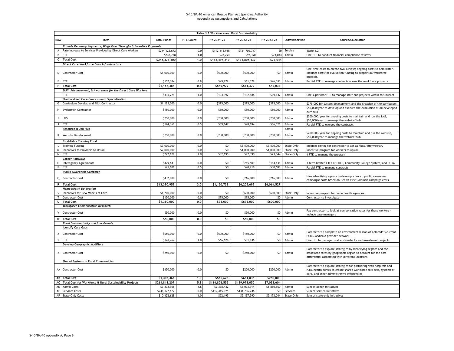|     |                                                                    |                    |           | Table 3.1 Workforce and Rural Sustainability |               |                        |               |                                                                                                                                                                                             |
|-----|--------------------------------------------------------------------|--------------------|-----------|----------------------------------------------|---------------|------------------------|---------------|---------------------------------------------------------------------------------------------------------------------------------------------------------------------------------------------|
| Row | Item                                                               | <b>Total Funds</b> | FTE Count | FY 2021-22                                   | FY 2022-23    | FY 2023-24             | Admin/Service | Source/Calculation                                                                                                                                                                          |
|     | Provide Recovery Payments, Wage Pass Throughs & Incentive Payments |                    |           |                                              |               |                        |               |                                                                                                                                                                                             |
| A   | Rate Increase to Services Provided by Direct Care Workers          | \$244,122,672      | 0.0       | \$112,415,925                                | \$131,706,747 |                        | \$0 Service   | Table 4.2                                                                                                                                                                                   |
| B   | FTE                                                                | \$248,728          | 1.0       | \$78,294                                     | \$97,390      | \$73,044               | Admin         | One FTE to conduct financial compliance reviews                                                                                                                                             |
| c   | <b>Total Cost</b>                                                  | \$244,371,400      | 1.0       | \$112,494,219                                | \$131,804,137 | \$73,044               |               |                                                                                                                                                                                             |
|     | Direct Care Workforce Data Infrastructure                          |                    |           |                                              |               |                        |               |                                                                                                                                                                                             |
| D   | <b>Contractor Cost</b>                                             | \$1,000,000        | 0.0       | \$500,000                                    | \$500,000     | \$0                    | Admin         | One-time costs to create two surveys; ongoing costs to administer.<br>Includes costs for evaluation funding to support all workforce<br>projects.                                           |
| E   | <b>FTE</b>                                                         | \$157,384          | 0.8       | \$49,972                                     | \$61,379      | \$46,033               | Admin         | Partial FTE to manage contracts across the workforce projects                                                                                                                               |
| F   | <b>Total Cost</b>                                                  | \$1,157,384        | 0.8       | \$549,972                                    | \$561,379     | \$46,033               |               |                                                                                                                                                                                             |
|     | Skill, Advancement, & Awareness for the Direct Care Workers        |                    |           |                                              |               |                        |               |                                                                                                                                                                                             |
|     | TE                                                                 | \$335,721          | 1.0       | \$104,392                                    | \$132,188     | \$99,142               | Admin         | One supervisor FTE to manage staff and projects within this bucket                                                                                                                          |
|     | Standardized Core Curriculum & Specialization                      |                    |           |                                              |               |                        |               |                                                                                                                                                                                             |
| G   | Curriculum Develop and Pilot Contractor                            | \$1,125,000        | 0.0       | \$375,000                                    | \$375,000     | \$375,000              | Admin         | \$375,000 for system development and the creation of the curriculum                                                                                                                         |
|     |                                                                    |                    |           |                                              |               |                        |               |                                                                                                                                                                                             |
| H   | <b>Evaluation Contractor</b>                                       | \$150,000          | 0.0       | \$50,000                                     | \$50,000      | \$50,000               | Admin         | \$50,000/year to develop and execute the evaluation of all developed<br>curricula                                                                                                           |
|     | LMS                                                                | \$750,000          | 0.0       | \$250,000                                    | \$250,000     | \$250,000              | Admin         | \$200,000/year for ongoing costs to maintain and run the LMS,<br>\$50,000/year to manage the website 'hub'                                                                                  |
| J   | <b>FTE</b>                                                         | \$124.361          | 0.5       | \$39,147                                     | \$48,694      | \$36,521               | Admin         | Partial FTE to oversee the contracts                                                                                                                                                        |
|     | Resource & Job Hub                                                 |                    |           |                                              |               |                        | Admin         |                                                                                                                                                                                             |
| к   | <b>Website Development</b>                                         | \$750,000          | 0.0       | \$250,000                                    | \$250,000     | \$250,000              | Admin         | \$200,000/year for ongoing costs to maintain and run the website,<br>\$50,000/year to manage the website 'hub'                                                                              |
|     | <b>Establish a Training Fund</b>                                   |                    |           |                                              |               |                        |               |                                                                                                                                                                                             |
|     | <b>Training Funding</b>                                            | \$7,000,000        | 0.0       | \$0                                          | \$3,500,000   | \$3,500,000            | State-Only    | Includes paying for contractor to act as fiscal intermediary                                                                                                                                |
| W   | Incentives to Providers to Upskill                                 | \$2,000,000        | 0.0       | \$0                                          | \$1,000,000   | \$1,000,000            | State-Only    | Incentive program for workers to upskill                                                                                                                                                    |
| N   | <b>FTE</b>                                                         | \$222,628          | 1.0       | \$52,195                                     | \$97,390      | \$73,044               | State-Only    | 1 FTE to manage the program                                                                                                                                                                 |
|     | <b>Career Pathways</b>                                             |                    |           |                                              |               |                        |               |                                                                                                                                                                                             |
| 0   | <b>Interagency Agreements</b>                                      | \$429,643          | 0.0       | \$0                                          | \$245,509     | \$184,134              | Admin         | 3 term limited FTEs at CDLE, Community College System, and DORA                                                                                                                             |
| P   | <b>FTE</b>                                                         | \$71,606           | 0.5       | SO                                           | \$40,918      | \$30,688               | Admin         | Partial FTE to manage contracts                                                                                                                                                             |
|     | <b>Public Awareness Campaign</b>                                   |                    |           |                                              |               |                        |               |                                                                                                                                                                                             |
| Q   | <b>Contractor Cost</b>                                             | \$432,000          | 0.0       | \$0                                          | \$216,000     | \$216,000              | Admin         | Hire advertising agency to develop + launch public awareness                                                                                                                                |
|     |                                                                    |                    |           |                                              |               |                        |               | campaign; costs based on Health First Colorado campaign costs                                                                                                                               |
|     | R Total Cost                                                       | \$13,390,959       | 3,0       | \$1,120,733                                  | \$6,205,699   | \$6,064,527            |               |                                                                                                                                                                                             |
|     | <b>Home Health Delegation</b>                                      |                    |           |                                              |               |                        |               |                                                                                                                                                                                             |
| s   | Incentives for New Models of Care                                  | \$1,200,000        | 0.0       | \$0                                          | \$600,000     | \$600,000              | State-Only    | Incentive program for home health agencies                                                                                                                                                  |
|     | T Contractor Cost                                                  | \$150,000          | 0.0       | \$75,000                                     | \$75,000      | $50-1$                 | Admin         | Contractor to investigate                                                                                                                                                                   |
|     | U Total Cost                                                       | \$1,350,000        | 0.0       | \$75,000                                     | \$675,000     | \$600,000              |               |                                                                                                                                                                                             |
|     | <b>Workforce Compensation Research</b>                             |                    |           |                                              |               |                        |               |                                                                                                                                                                                             |
| v   | <b>Contractor Cost</b>                                             | \$50,000           | 0.0       | \$0                                          | \$50,000      | \$0                    | Admin         | Pay contractor to look at compensation rates for these workers .<br>include case managers                                                                                                   |
|     | <b>W</b> Total Cost                                                | \$50,000           | 0.0       | 50                                           | \$50,000      | 50 <sub>1</sub>        |               |                                                                                                                                                                                             |
|     | <b>Rural Sustainability and Investments</b>                        |                    |           |                                              |               |                        |               |                                                                                                                                                                                             |
|     | <b>Identify Care Gaps</b>                                          |                    |           |                                              |               |                        |               |                                                                                                                                                                                             |
| X   | <b>Contractor Cost</b>                                             | \$650,000          | 0.0       | \$500,000                                    | \$150,000     | \$0                    | Admin         | Contractor to complete an environmental scan of Colorado's current<br>HCBS/Medicaid provider network                                                                                        |
| Y   | <b>FTE</b>                                                         | \$148,464          | 1.0       | \$66,628                                     | \$81,836      | \$0                    | Admin         | One FTE to manage rural sustainability and investment projects                                                                                                                              |
|     | <b>Develop Geographic Modifiers</b>                                |                    |           |                                              |               |                        |               |                                                                                                                                                                                             |
| z   | <b>Contractor Cost</b>                                             | \$250,000          | 0.0       | \$0                                          | \$250,000     | \$0                    | Admin         | Contractor to explore strategies by identifying regions and the<br>associated rates by geographic region to account for the cost<br>differential associated with different locations        |
|     | <b>Shared Systems in Rural Communities</b>                         |                    |           |                                              |               |                        |               |                                                                                                                                                                                             |
|     | AA Contractor Cost                                                 | \$450,000          | 0.0       | \$0                                          | \$200,000     | \$250,000              | Admin         | Contractor to explore strategies for partnering with hospitals and<br>rural health clinics to create shared workforce skill sets, systems of<br>care, and other administrative efficiencies |
|     | <b>AB</b> Total Cost                                               | \$1,498,464        | 1,0       | \$566,628                                    | \$681,836     | \$250,000              |               |                                                                                                                                                                                             |
|     | AC Total Cost for Workforce & Rural Sustainability Projects        | \$261,818,207      | 5.8       | \$114,806,552                                | \$139,978,050 | \$7,033,604            |               |                                                                                                                                                                                             |
| AD  | <b>Admin Costs</b>                                                 | \$7,272,906        | 4.8       | \$2,338,432                                  | \$3,073,914   | \$1,860,560            | Admin         | Sum of admin initiatives                                                                                                                                                                    |
| AE  | <b>Services Costs</b>                                              | \$244,122,672      | 0.0       | \$112,415,925                                | \$131,706,746 | S <sub>0</sub>         | Services      | Sum of service initiatives                                                                                                                                                                  |
|     | AF State-Only Costs                                                | \$10,422,628       | 1.0       | \$52,195                                     | \$5,197,390   | \$5,173,044 State-Only |               | Sum of state-only initiatives                                                                                                                                                               |
|     |                                                                    |                    |           |                                              |               |                        |               |                                                                                                                                                                                             |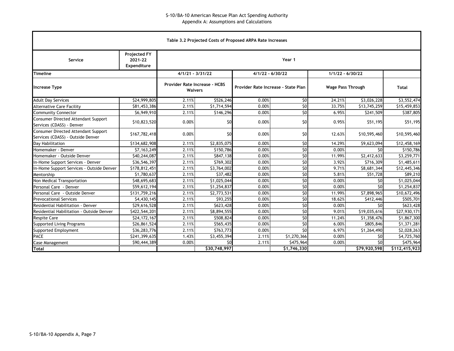|                                                                          |                                               |       |                                                                                                                           | Table 3.2 Projected Costs of Proposed ARPA Rate Increases |                 |        |              |                       |  |  |  |  |  |  |
|--------------------------------------------------------------------------|-----------------------------------------------|-------|---------------------------------------------------------------------------------------------------------------------------|-----------------------------------------------------------|-----------------|--------|--------------|-----------------------|--|--|--|--|--|--|
| Service                                                                  | <b>Projected FY</b><br>2021-22<br>Expenditure |       | Year 1                                                                                                                    |                                                           |                 |        |              |                       |  |  |  |  |  |  |
| <b>Timeline</b>                                                          |                                               |       | $4/1/21 - 3/31/22$<br>$4/1/22 - 6/30/22$<br>$1/1/22 - 6/30/22$                                                            |                                                           |                 |        |              |                       |  |  |  |  |  |  |
| <b>Increase Type</b>                                                     |                                               |       | <b>Provider Rate Increase - HCBS</b><br>Provider Rate Increase - State Plan<br><b>Wage Pass Through</b><br><b>Waivers</b> |                                                           |                 |        |              |                       |  |  |  |  |  |  |
| <b>Adult Day Services</b>                                                | \$24,999,805                                  | 2.11% | \$526,246                                                                                                                 | 0.00%                                                     | \$0             | 24.21% | \$3,026,228  | \$3,552,474           |  |  |  |  |  |  |
| <b>Alternative Care Facility</b>                                         | \$81,453,386                                  | 2.11% | \$1,714,594                                                                                                               | 0.00%                                                     | $\overline{50}$ | 33.75% | \$13,745,259 | \$15,459,853          |  |  |  |  |  |  |
| <b>Community Connector</b>                                               | \$6,949,910                                   | 2.11% | \$146,296                                                                                                                 | 0.00%                                                     | $\overline{50}$ | 6.95%  | \$241,509    | \$387,805             |  |  |  |  |  |  |
| Consumer Directed Attendant Support<br>Services (CDASS) - Denver         | \$10,823,520                                  | 0.00% | \$0                                                                                                                       | 0.00%                                                     | \$0             | 0.95%  | \$51,195     | \$51,195              |  |  |  |  |  |  |
| Consumer Directed Attendant Support<br>Services (CDASS) - Outside Denver | \$167,782,418                                 | 0.00% | \$0                                                                                                                       | 0.00%                                                     | \$0             | 12.63% | \$10,595,460 | \$10,595,460          |  |  |  |  |  |  |
| Day Habilitation                                                         | \$134,682,908                                 | 2.11% | \$2,835,075                                                                                                               | 0.00%                                                     | \$0             | 14.29% | \$9,623,094  | \$12,458,169          |  |  |  |  |  |  |
| Homemaker - Denver                                                       | \$7,163,249                                   | 2.11% | \$150,786                                                                                                                 | 0.00%                                                     | \$0             | 0.00%  | \$0          | $\overline{51}50,786$ |  |  |  |  |  |  |
| Homemaker - Outside Denver                                               | \$40,244,087                                  | 2.11% | \$847,138                                                                                                                 | 0.00%                                                     | $\overline{50}$ | 11.99% | \$2,412,633  | \$3,259,771           |  |  |  |  |  |  |
| In-Home Support Services - Denver                                        | \$36,546,397                                  | 2.11% | \$769,302                                                                                                                 | 0.00%                                                     | $\overline{50}$ | 3.92%  | \$716,309    | \$1,485,611           |  |  |  |  |  |  |
| In-Home Support Services - Outside Denver                                | \$178,812,451                                 | 2.11% | \$3,764,002                                                                                                               | 0.00%                                                     | \$0             | 9.71%  | \$8,681,344  | \$12,445,346          |  |  |  |  |  |  |
| Mentorship                                                               | \$1,780,637                                   | 2.11% | \$37,482                                                                                                                  | 0.00%                                                     | $\overline{50}$ | 5.81%  | \$51,728     | \$89,210              |  |  |  |  |  |  |
| Non Medical Transportation                                               | \$48,695,683                                  | 2.11% | \$1,025,044                                                                                                               | 0.00%                                                     | $\overline{50}$ | 0.00%  | \$0          | \$1,025,044           |  |  |  |  |  |  |
| Personal Care - Denver                                                   | \$59,612,194                                  | 2.11% | \$1,254,837                                                                                                               | 0.00%                                                     | \$0             | 0.00%  | \$0          | \$1,254,837           |  |  |  |  |  |  |
| Personal Care - Outside Denver                                           | \$131,759,216                                 | 2.11% | \$2,773,531                                                                                                               | 0.00%                                                     | \$0             | 11.99% | \$7,898,965  | \$10,672,496          |  |  |  |  |  |  |
| Prevocational Services                                                   | \$4,430,145                                   | 2.11% | \$93,255                                                                                                                  | 0.00%                                                     | $\overline{50}$ | 18.62% | \$412,446    | \$505,701             |  |  |  |  |  |  |
| Residential Habilitation - Denver                                        | \$29,616,528                                  | 2.11% | \$623,428                                                                                                                 | 0.00%                                                     | \$0             | 0.00%  | 50           | \$623,428             |  |  |  |  |  |  |
| Residential Habilitation - Outside Denver                                | \$422,544,201                                 | 2.11% | \$8,894,555                                                                                                               | 0.00%                                                     | $\overline{50}$ | 9.01%  | \$19,035,616 | \$27,930,171          |  |  |  |  |  |  |
| <b>Respite Care</b>                                                      | \$24,172,167                                  | 2.11% | \$508,824                                                                                                                 | 0.00%                                                     | $\overline{50}$ | 11.24% | \$1,358,476  | \$1,867,300           |  |  |  |  |  |  |
| <b>Supported Living Programs</b>                                         | \$26,861,524                                  | 2.11% | \$565,435                                                                                                                 | 0.00%                                                     | $\overline{50}$ | 6.00%  | \$805,846    | \$1,371,281           |  |  |  |  |  |  |
| Supported Employment                                                     | \$36,283,776                                  | 2.11% | \$763,773                                                                                                                 | 0.00%                                                     | $\overline{50}$ | 6.97%  | \$1,264,490  | \$2,028,263           |  |  |  |  |  |  |
| <b>PACE</b>                                                              | \$241,399,635                                 | 1.43% | \$3,455,394                                                                                                               | 2.11%                                                     | \$1,270,366     | 0.00%  | \$0          | \$4,725,760           |  |  |  |  |  |  |
| Case Management                                                          | \$90,444,389                                  | 0.00% | \$475,964<br>\$0<br>\$475,964<br>\$0<br>2.11%<br>0.00%                                                                    |                                                           |                 |        |              |                       |  |  |  |  |  |  |
| <b>Total</b>                                                             |                                               |       | \$30,748,997                                                                                                              |                                                           | \$1,746,330     |        | \$79,920,598 | \$112,415,923         |  |  |  |  |  |  |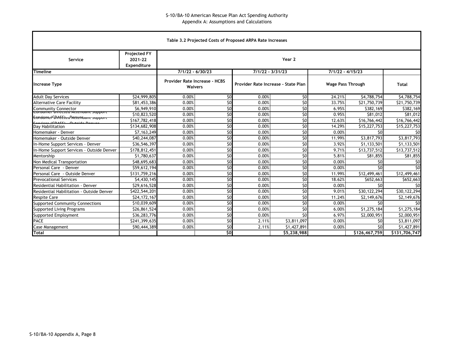|                                                                                         |                                               |                                                        |                                                                        | Table 3.2 Projected Costs of Proposed ARPA Rate Increases |                    |                          |               |               |  |  |  |  |
|-----------------------------------------------------------------------------------------|-----------------------------------------------|--------------------------------------------------------|------------------------------------------------------------------------|-----------------------------------------------------------|--------------------|--------------------------|---------------|---------------|--|--|--|--|
| Service                                                                                 | <b>Projected FY</b><br>2021-22<br>Expenditure |                                                        |                                                                        |                                                           | Year 2             |                          |               |               |  |  |  |  |
| <b>Timeline</b>                                                                         |                                               | $7/1/22 - 6/30/23$                                     |                                                                        |                                                           | $7/1/22 - 3/31/23$ | $7/1/22 - 4/15/23$       |               |               |  |  |  |  |
| <b>Increase Type</b>                                                                    |                                               | <b>Provider Rate Increase - HCBS</b><br><b>Waivers</b> |                                                                        | Provider Rate Increase - State Plan                       |                    | <b>Wage Pass Through</b> |               | <b>Total</b>  |  |  |  |  |
| <b>Adult Day Services</b>                                                               | \$24,999,805                                  | 0.00%                                                  | \$0                                                                    | 0.00%                                                     | \$0                | 24.21%                   | \$4,788,754   | \$4,788,754   |  |  |  |  |
| <b>Alternative Care Facility</b>                                                        | \$81,453,386                                  | 0.00%                                                  | \$0                                                                    | 0.00%                                                     | \$0                | 33.75%                   | \$21,750,739  | \$21,750,739  |  |  |  |  |
| <b>Community Connector</b>                                                              | \$6,949,910                                   | 0.00%                                                  | \$0                                                                    | 0.00%                                                     | \$0                | 6.95%                    | \$382,169     | \$382,169     |  |  |  |  |
| <del>consumer birecteu Attenuant support</del><br>Consantel Directed Actentiant support | \$10,823,520                                  | 0.00%                                                  | 50                                                                     | 0.00%                                                     | \$0                | 0.95%                    | \$81,012      | \$81,012      |  |  |  |  |
| Conj <sub>con</sub> (CDACC)<br>$Q$ uteide $Q$                                           | \$167,782,418                                 | 0.00%                                                  | \$0                                                                    | 0.00%                                                     | $\overline{50}$    | 12.63%                   | \$16,766,442  | \$16,766,442  |  |  |  |  |
| Day Habilitation                                                                        | \$134,682,908                                 | 0.00%                                                  | \$0                                                                    | 0.00%                                                     | $\overline{50}$    | 14.29%                   | \$15,227,753  | \$15,227,753  |  |  |  |  |
| Homemaker - Denver                                                                      | \$7,163,249                                   | 0.00%                                                  | \$0                                                                    | 0.00%                                                     | $\overline{50}$    | 0.00%                    | \$0           | \$0           |  |  |  |  |
| Homemaker - Outside Denver                                                              | \$40,244,087                                  | 0.00%                                                  | \$0                                                                    | 0.00%                                                     | \$0                | 11.99%                   | \$3,817,793   | \$3,817,793   |  |  |  |  |
| In-Home Support Services - Denver                                                       | \$36,546,397                                  | 0.00%                                                  | 50                                                                     | 0.00%                                                     | $\overline{50}$    | 3.92%                    | \$1,133,501   | \$1,133,501   |  |  |  |  |
| In-Home Support Services - Outside Denver                                               | \$178,812,451                                 | 0.00%                                                  | $\overline{50}$                                                        | 0.00%                                                     | $\overline{50}$    | 9.71%                    | \$13,737,512  | \$13,737,512  |  |  |  |  |
| Mentorship                                                                              | \$1,780,637                                   | 0.00%                                                  | \$0                                                                    | 0.00%                                                     | $\overline{50}$    | 5.81%                    | \$81,855      | \$81,855      |  |  |  |  |
| Non Medical Transportation                                                              | \$48,695,683                                  | 0.00%                                                  | \$0                                                                    | 0.00%                                                     | $\overline{50}$    | 0.00%                    | \$0           | \$0           |  |  |  |  |
| Personal Care - Denver                                                                  | \$59,612,194                                  | 0.00%                                                  | \$0                                                                    | 0.00%                                                     | \$0                | 0.00%                    | \$0           | SO            |  |  |  |  |
| Personal Care - Outside Denver                                                          | \$131,759,216                                 | 0.00%                                                  | 50                                                                     | 0.00%                                                     | \$0                | 11.99%                   | \$12,499,461  | \$12,499,461  |  |  |  |  |
| <b>Prevocational Services</b>                                                           | \$4,430,145                                   | 0.00%                                                  | \$0                                                                    | 0.00%                                                     | \$0                | 18.62%                   | \$652,663     | \$652,663     |  |  |  |  |
| Residential Habilitation - Denver                                                       | \$29,616,528                                  | 0.00%                                                  | 50                                                                     | 0.00%                                                     | $\overline{50}$    | 0.00%                    | \$0           | \$0           |  |  |  |  |
| Residential Habilitation - Outside Denver                                               | \$422,544,201                                 | 0.00%                                                  | $\overline{50}$                                                        | 0.00%                                                     | \$0                | 9.01%                    | \$30,122,294  | \$30,122,294  |  |  |  |  |
| <b>Respite Care</b>                                                                     | \$24,172,167                                  | 0.00%                                                  | \$0                                                                    | 0.00%                                                     | \$0                | 11.24%                   | \$2,149,676   | \$2,149,676   |  |  |  |  |
| <b>Supported Community Connections</b>                                                  | \$10,039,609                                  | 0.00%                                                  | \$0                                                                    | 0.00%                                                     | \$0                | 0.00%                    | \$0           | \$0           |  |  |  |  |
| Supported Living Programs                                                               | \$26,861,524                                  | 0.00%                                                  | \$0                                                                    | 0.00%                                                     | \$0                | 6.00%                    | \$1,275,184   | \$1,275,184   |  |  |  |  |
| Supported Employment                                                                    | \$36,283,776                                  | 0.00%                                                  | 50                                                                     | 0.00%                                                     | \$0                | 6.97%                    | \$2,000,951   | \$2,000,951   |  |  |  |  |
| <b>PACE</b>                                                                             | \$241,399,635                                 | 0.00%                                                  | \$0                                                                    | 2.11%                                                     | \$3,811,097        | 0.00%                    | \$0           | \$3,811,097   |  |  |  |  |
| Case Management                                                                         | \$90,444,389                                  | 0.00%                                                  | \$0<br>\$0<br>2.11%<br>$\overline{51,}427,891$<br>\$1,427,891<br>0.00% |                                                           |                    |                          |               |               |  |  |  |  |
| <b>Total</b>                                                                            |                                               |                                                        | \$0                                                                    |                                                           | \$5,238,988        |                          | \$126,467,759 | \$131,706,747 |  |  |  |  |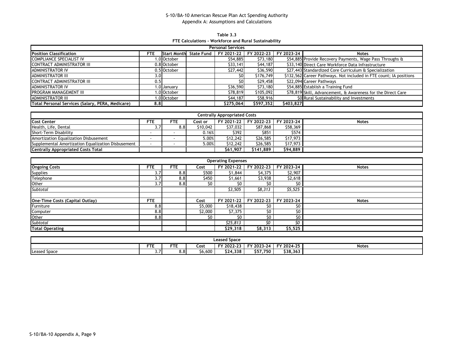**Table 3.3 FTE Calculations - Workforce and Rural Sustainability**

| <b>Personal Services</b>                         |            |                    |                   |            |            |            |                                                                    |  |  |  |  |  |
|--------------------------------------------------|------------|--------------------|-------------------|------------|------------|------------|--------------------------------------------------------------------|--|--|--|--|--|
| <b>Position Classification</b>                   | <b>FTE</b> | <b>Start Month</b> | <b>State Fund</b> | FY 2021-22 | FY 2022-23 | FY 2023-24 | <b>Notes</b>                                                       |  |  |  |  |  |
| COMPLIANCE SPECIALIST IV                         |            | .0 October         |                   | \$54,885   | \$73,180   |            | \$54,885 Provide Recovery Payments, Wage Pass Throughs &           |  |  |  |  |  |
| CONTRACT ADMINISTRATOR III                       |            | 0.8 October        |                   | \$33,141   | \$44,187   |            | \$33,140 Direct Care Workforce Data Infrastructure                 |  |  |  |  |  |
| <b>ADMINISTRATOR IV</b>                          |            | 0.5 October        |                   | \$27,442   | \$36,590   |            | \$27,443 Standardized Core Curriculum & Specialization             |  |  |  |  |  |
| <b>ADMINISTRATOR III</b>                         | 3.0        |                    |                   | \$0l       | \$176,749  |            | \$132,562 Career Pathways. Not included in FTE count; IA positions |  |  |  |  |  |
| <b>CONTRACT ADMINISTRATOR III</b>                | 0.5        |                    |                   | \$0l       | \$29,458   |            | \$22,094 Career Pathways                                           |  |  |  |  |  |
| <b>ADMINISTRATOR IV</b>                          |            | 1.0 January        |                   | \$36,590   | \$73,180   |            | \$54,885 Establish a Training Fund                                 |  |  |  |  |  |
| PROGRAM MANAGEMENT III                           |            | .0 October         |                   | S78,819    | \$105,092  |            | \$78,819 Skill, Advancement, & Awareness for the Direct Care       |  |  |  |  |  |
| <b>ADMINISTRATOR III</b>                         |            | 1.0 October        |                   | \$44,187   | \$58,916   |            | \$0 Rural Sustainability and Investments                           |  |  |  |  |  |
| Total Personal Services (Salary, PERA, Medicare) | 8.8        |                    |                   | S275.064   | \$597,352  | \$403,827  |                                                                    |  |  |  |  |  |

| <b>Centrally Appropriated Costs</b>                |            |     |          |          |           |                                  |              |  |  |  |  |  |
|----------------------------------------------------|------------|-----|----------|----------|-----------|----------------------------------|--------------|--|--|--|--|--|
| <b>Cost Center</b>                                 | <b>FTE</b> | FTE | Cost or  |          |           | FY 2021-22 FY 2022-23 FY 2023-24 | <b>Notes</b> |  |  |  |  |  |
| Health, Life, Dental                               | 3.7        | 8.8 | \$10,042 | \$37.032 | \$87,868  | \$58,369                         |              |  |  |  |  |  |
| Short-Term Disability                              |            |     | 0.16%    | \$392    | \$851     | \$574                            |              |  |  |  |  |  |
| Amortization Equalization Disbusement              |            |     | 5.00%    | \$12,242 | \$26,585  | \$17,973                         |              |  |  |  |  |  |
| Supplemental Amortization Equalization Disbusement |            |     | 5.00%    | \$12,242 | \$26,585  | \$17,973                         |              |  |  |  |  |  |
| <b>Centrally Appropriated Costs Total</b>          |            |     |          | \$61.907 | \$141.889 | \$94,889                         |              |  |  |  |  |  |

| <b>Operating Expenses</b>       |               |            |         |            |            |            |              |  |  |  |  |  |  |
|---------------------------------|---------------|------------|---------|------------|------------|------------|--------------|--|--|--|--|--|--|
| <b>Ongoing Costs</b>            | <b>FTE</b>    | <b>FTE</b> | Cost    | FY 2021-22 | FY 2022-23 | FY 2023-24 | <b>Notes</b> |  |  |  |  |  |  |
| <b>Supplies</b>                 | 3.7           | 8.8        | \$500   | \$1,844    | \$4,375    | \$2,907    |              |  |  |  |  |  |  |
| Telephone                       | 3.7           | 8.8        | \$450   | \$1,661    | \$3,938    | \$2,618    |              |  |  |  |  |  |  |
| Other                           | $3.7^{\circ}$ | 8.8        | \$0     | S0         | S0         |            |              |  |  |  |  |  |  |
| Subtotal                        |               |            |         | \$3,505    | \$8,313    | 55,525     |              |  |  |  |  |  |  |
|                                 |               |            |         |            |            |            |              |  |  |  |  |  |  |
| One-Time Costs (Capital Outlay) | <b>FTE</b>    |            | Cost    | FY 2021-22 | FY 2022-23 | FY 2023-24 | <b>Notes</b> |  |  |  |  |  |  |
| Furniture                       | 8.8           |            | \$5,000 | \$18,438   | S0         | S0         |              |  |  |  |  |  |  |
| Computer                        | 8.8           |            | \$2,000 | \$7,375    | \$0        | \$0        |              |  |  |  |  |  |  |
| Other                           | 8.8           |            | \$0     | \$0        | \$0        | \$O        |              |  |  |  |  |  |  |
| <b>Subtotal</b>                 |               |            |         | \$25,813   | ٢O         | SO.        |              |  |  |  |  |  |  |
| <b>Total Operating</b>          |               |            |         | \$29,318   | \$8,313    | \$5,525    |              |  |  |  |  |  |  |

| <b>Leased Space</b>                                                                        |     |               |         |          |          |          |  |  |  |  |  |
|--------------------------------------------------------------------------------------------|-----|---------------|---------|----------|----------|----------|--|--|--|--|--|
| <b>FTE</b><br><b>FTL</b><br>FY 2024-25<br>FY 2022-23<br>FY 2023-24<br>Cost<br><b>Notes</b> |     |               |         |          |          |          |  |  |  |  |  |
| <b>Leased Space</b>                                                                        | ر.د | $8.8^{\circ}$ | \$6,600 | \$24,338 | \$57,750 | \$38,363 |  |  |  |  |  |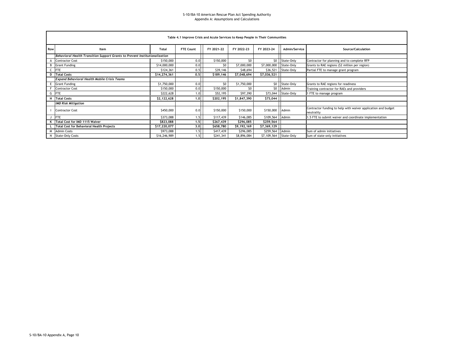|     | Table 4.1 Improve Crisis and Acute Services to Keep People in Their Communities |              |                  |            |             |                          |                     |                                                                             |  |  |  |  |  |  |
|-----|---------------------------------------------------------------------------------|--------------|------------------|------------|-------------|--------------------------|---------------------|-----------------------------------------------------------------------------|--|--|--|--|--|--|
| Row | Item                                                                            | <b>Total</b> | <b>FTE Count</b> | FY 2021-22 | FY 2022-23  | FY 2023-24               | Admin/Service       | Source/Calculation                                                          |  |  |  |  |  |  |
|     | Behavioral Health Transition Support Grants to Prevent Institutionalization     |              |                  |            |             |                          |                     |                                                                             |  |  |  |  |  |  |
|     | <b>Contractor Cost</b>                                                          | \$150,000    | 0.0              | \$150,000  | \$0         | \$0                      | State-Only          | Contractor for planning and to complete RFP                                 |  |  |  |  |  |  |
| В   | <b>Grant Funding</b>                                                            | \$14,000,000 | 0.0              | \$0        | \$7,000,000 | \$7,000,000              | State-Only          | Grants to RAE regions (\$2 million per region)                              |  |  |  |  |  |  |
|     | <b>FTE</b>                                                                      | \$124,361    | 0.5              | \$39,146   | \$48,694    |                          | \$36,521 State-Only | Partial FTE to manage grant program                                         |  |  |  |  |  |  |
|     | D Total Costs                                                                   | \$14,274,361 | 0, 5             | \$189,146  | \$7,048,694 | \$7,036,521              |                     |                                                                             |  |  |  |  |  |  |
|     | <b>Expand Behavioral Health Mobile Crisis Teams</b>                             |              |                  |            |             |                          |                     |                                                                             |  |  |  |  |  |  |
|     | E Grant Funding                                                                 | \$1,750,000  | 0.01             | SO         | \$1,750,000 | 50                       | State-Only          | Grants to RAE regions for readiness                                         |  |  |  |  |  |  |
|     | <b>Contractor Cost</b>                                                          | \$150,000    | 0.0              | \$150,000  | \$0         | \$0                      | Admin               | Training contractor for RAEs and providers                                  |  |  |  |  |  |  |
|     | G FTE                                                                           | \$222,628    | 1.0              | \$52,195   | \$97,390    |                          | \$73,044 State-Only | 1 FTE to manage program                                                     |  |  |  |  |  |  |
| н   | <b>Total Costs</b>                                                              | \$2,122,628  | 1.0              | \$202,195  | \$1,847,390 | \$73,044                 |                     |                                                                             |  |  |  |  |  |  |
|     | <b>IMD Risk Mitigation</b>                                                      |              |                  |            |             |                          |                     |                                                                             |  |  |  |  |  |  |
|     | <b>Contractor Cost</b>                                                          | \$450,000    | 0.0              | \$150,000  | \$150,000   | \$150,000                | Admin               | Contractor funding to help with waiver application and budget<br>neutrality |  |  |  |  |  |  |
|     | <b>FTE</b>                                                                      | \$373,088    | 1.5              | \$117,439  | \$146,085   | \$109,564 Admin          |                     | 1.5 FTE to submit waiver and coordinate implementation                      |  |  |  |  |  |  |
|     | K Total Cost for IMD 1115 Waiver                                                | \$823,088    | 1, 5             | \$267,439  | \$296,085   | \$259,564                |                     |                                                                             |  |  |  |  |  |  |
|     | <b>Total Cost for Behavioral Health Projects</b>                                | \$17,220,077 | 3.0              | \$658,780  | \$9,192,169 | \$7,369,129              |                     |                                                                             |  |  |  |  |  |  |
| M   | <b>Admin Costs</b>                                                              | \$973,088    | 1.5              | \$417,439  | \$296,085   | \$259,564                | Admin               | Sum of admin initiatives                                                    |  |  |  |  |  |  |
| N   | <b>State-Only Costs</b>                                                         | \$16,246,989 | 1.5              | \$241,341  | \$8,896,084 | \$7,109,564   State-Only |                     | Sum of state-only initiatives                                               |  |  |  |  |  |  |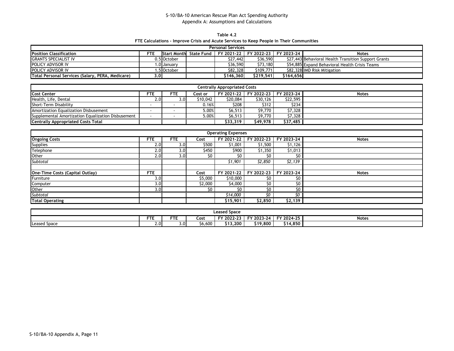**Table 4.2 FTE Calculations - Improve Crisis and Acute Services to Keep People in Their Communities**

| <b>Personal Services</b>                         |      |                    |            |            |                                  |           |                                                      |  |  |  |  |  |
|--------------------------------------------------|------|--------------------|------------|------------|----------------------------------|-----------|------------------------------------------------------|--|--|--|--|--|
| <b>Position Classification</b>                   | FTE. | <b>Start Month</b> | State Fund |            | FY 2021-22 FY 2022-23 FY 2023-24 |           | <b>Notes</b>                                         |  |  |  |  |  |
| <b>GRANTS SPECIALIST IV</b>                      |      | 0.5 October        |            | \$27.442   | \$36,590                         |           | \$27,443 Behavioral Health Transition Support Grants |  |  |  |  |  |
| <b>POLICY ADVISOR IV</b>                         |      | l.0 Januarv        |            | \$36,590   | \$73,180                         |           | \$54,885 Expand Behavioral Health Crisis Teams       |  |  |  |  |  |
| <b>POLICY ADVISOR IV</b>                         |      | .5 October         |            | \$82,328   | \$109,771                        |           | \$82,328 IMD Risk Mitigation                         |  |  |  |  |  |
| Total Personal Services (Salary, PERA, Medicare) | 3.01 |                    |            | S146.360 l | \$219.541                        | S164.656l |                                                      |  |  |  |  |  |

| <b>Centrally Appropriated Costs</b>                |                  |     |          |          |                       |            |              |  |  |  |  |  |
|----------------------------------------------------|------------------|-----|----------|----------|-----------------------|------------|--------------|--|--|--|--|--|
| <b>Cost Center</b>                                 | <b>FTE</b>       | FTE | Cost or  |          | FY 2021-22 FY 2022-23 | FY 2023-24 | <b>Notes</b> |  |  |  |  |  |
| Health, Life, Dental                               | 2.0 <sup>1</sup> | 3.0 | \$10,042 | \$20,084 | \$30,126              | \$22,595   |              |  |  |  |  |  |
| Short-Term Disability                              |                  |     | 0.16%    | \$208    | \$312                 | \$234      |              |  |  |  |  |  |
| Amortization Equalization Disbusement              |                  |     | 5.00%    | \$6,513  | \$9,770               | \$7,328    |              |  |  |  |  |  |
| Supplemental Amortization Equalization Disbusement |                  |     | 5.00%    | \$6,513  | \$9.770               | \$7,328    |              |  |  |  |  |  |
| <b>Centrally Appropriated Costs Total</b>          |                  |     |          | \$33,319 | \$49.978              | \$37,485   |              |  |  |  |  |  |

| <b>Operating Expenses</b>       |                  |               |         |            |            |            |              |  |  |  |  |  |  |
|---------------------------------|------------------|---------------|---------|------------|------------|------------|--------------|--|--|--|--|--|--|
| <b>Ongoing Costs</b>            | <b>FTE</b>       | <b>FTE</b>    | Cost    | FY 2021-22 | FY 2022-23 | FY 2023-24 | <b>Notes</b> |  |  |  |  |  |  |
| <b>Supplies</b>                 | 2.0 <sub>l</sub> | 3.0           | \$500   | \$1,001    | \$1,500    | \$1,126    |              |  |  |  |  |  |  |
| Telephone                       | 2.0              | 3.0           | \$450   | \$900      | \$1,350    | \$1,013    |              |  |  |  |  |  |  |
| Other                           | 2.0              | $3.0^{\circ}$ | \$0     | SO.        | \$0        | \$0        |              |  |  |  |  |  |  |
| Subtotal                        |                  |               |         | \$1,901    | \$2,850    | \$2,139    |              |  |  |  |  |  |  |
|                                 |                  |               |         |            |            |            |              |  |  |  |  |  |  |
| One-Time Costs (Capital Outlay) | <b>FTE</b>       |               | Cost    | FY 2021-22 | FY 2022-23 | FY 2023-24 | <b>Notes</b> |  |  |  |  |  |  |
| Furniture                       | 3.01             |               | \$5,000 | \$10,000   | \$0        | \$0        |              |  |  |  |  |  |  |
| Computer                        | 3.0              |               | \$2,000 | \$4,000    | \$0        | \$0        |              |  |  |  |  |  |  |
| Other                           | 3.0              |               | \$0     | \$0        | \$0        | \$0 l      |              |  |  |  |  |  |  |
| <b>Subtotal</b>                 |                  |               |         | \$14,000   | ٢n         | SO.        |              |  |  |  |  |  |  |
| <b>Total Operating</b>          |                  |               |         | \$15,901   | \$2,850    | \$2,139    |              |  |  |  |  |  |  |

| Leased Space                                                                                |            |     |          |           |          |        |  |  |  |  |  |
|---------------------------------------------------------------------------------------------|------------|-----|----------|-----------|----------|--------|--|--|--|--|--|
| <b>FTL</b><br>FY 2024-25<br>FY 2023-24<br><b>FTL</b><br>$Y$ 2022-23<br><b>Notes</b><br>Cost |            |     |          |           |          |        |  |  |  |  |  |
| <b>Leased Space</b>                                                                         | $\angle 0$ | 3.0 | - 6,600ه | $-13.200$ | \$19,800 | 14.850 |  |  |  |  |  |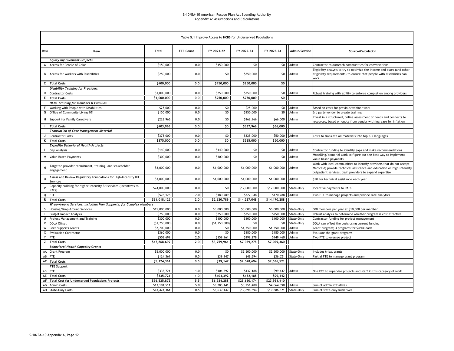|                     | Table 5.1 Improve Access to HCBS for Underserved Populations               |               |                  |                |              |                         |               |                                                                                                                                                                                                            |  |  |  |  |  |  |
|---------------------|----------------------------------------------------------------------------|---------------|------------------|----------------|--------------|-------------------------|---------------|------------------------------------------------------------------------------------------------------------------------------------------------------------------------------------------------------------|--|--|--|--|--|--|
| Row                 | Item                                                                       | Total         | <b>FTE Count</b> | FY 2021-22     | FY 2022-23   | FY 2023-24              | Admin/Service | Source/Calculation                                                                                                                                                                                         |  |  |  |  |  |  |
|                     | <b>Equity Improvement Projects</b>                                         |               |                  |                |              |                         |               |                                                                                                                                                                                                            |  |  |  |  |  |  |
| А                   | Access for People of Color                                                 | \$150,000     | 0.0              | \$150,000      | \$0          | \$0                     | Admin         | Contractor to outreach communities for conversations                                                                                                                                                       |  |  |  |  |  |  |
| В                   | Access for Workers with Disabilities                                       | \$250,000     | 0.0              | \$0            | \$250,000    | \$0                     | Admin         | Eligibility analysis to try to optimize the income and asset (and other<br>eligibility requirements) to ensure that people with disabilities can<br>work                                                   |  |  |  |  |  |  |
|                     | C Total Costs                                                              | \$400,000     | 0.0              | \$150,000      | \$250,000    | \$0                     |               |                                                                                                                                                                                                            |  |  |  |  |  |  |
|                     | <b>Disability Training for Providers</b>                                   |               |                  |                |              |                         |               |                                                                                                                                                                                                            |  |  |  |  |  |  |
|                     | D Contractor Costs                                                         | \$1,000,000   | 0.0              | \$250,000      | \$750,000    | 50 <sub>1</sub>         | Admin         | Robust training with ability to enforce completion among providers                                                                                                                                         |  |  |  |  |  |  |
|                     | <b>E</b> Total Costs                                                       | \$1,000,000   | 0.0              | \$250,000      | \$750,000    | \$0                     |               |                                                                                                                                                                                                            |  |  |  |  |  |  |
|                     | <b>HCBS Training for Members &amp; Families</b>                            |               |                  |                |              |                         |               |                                                                                                                                                                                                            |  |  |  |  |  |  |
| F                   | Working with People with Disabilities                                      | \$25,000      | 0.0              | \$0            | \$25,000     | \$0                     | Admin         | Based on costs for previous webinar work                                                                                                                                                                   |  |  |  |  |  |  |
|                     | G Office of Community Living 101                                           | \$150,000     | 0.0              | \$0            | \$150,000    | \$0                     | Admin         | 3rd party vendor to create training                                                                                                                                                                        |  |  |  |  |  |  |
| H                   | Support for Family Caregivers                                              | \$228,966     | 0.0              | \$0            | \$162,966    | \$66,000                | Admin         | Invest in a structured, online assessment of needs and connects to<br>resources; based on quote from vendor with increase for inflation                                                                    |  |  |  |  |  |  |
|                     | <b>I</b> Total Costs                                                       | \$403,966     | 0.0              | \$0            | \$337,966    | \$66,000                |               |                                                                                                                                                                                                            |  |  |  |  |  |  |
|                     | <b>Translation of Case Management Material</b>                             |               |                  |                |              |                         |               |                                                                                                                                                                                                            |  |  |  |  |  |  |
| $\mathbf{I}$        | <b>Contractor Costs</b>                                                    | \$375,000     | 0.0              | \$0            | \$325,000    | \$50,000                | Admin         | Costs to translate all materials into top 3-5 languages                                                                                                                                                    |  |  |  |  |  |  |
|                     | K Total Costs                                                              | \$375,000     | 0,0              | 50             | \$325,000    | \$50,000                |               |                                                                                                                                                                                                            |  |  |  |  |  |  |
|                     | <b>Expedite Behavioral Health Projects</b>                                 |               |                  |                |              |                         |               |                                                                                                                                                                                                            |  |  |  |  |  |  |
| L                   | <b>Gap Analysis</b>                                                        | \$140,000     | 0.0              | \$140,000      | \$0          | \$0                     | Admin         | Contractor funding to identify gaps and make recommendations                                                                                                                                               |  |  |  |  |  |  |
| M                   | Value Based Payments                                                       | \$300,000     | 0.0              | \$300,000      | \$0          | \$0                     | Admin         | Modelling/actuarial work to figure out the best way to implement<br>value based payments                                                                                                                   |  |  |  |  |  |  |
| ${\sf N}$           | Targeted provider recruitment, training, and stakeholder<br>engagement     | \$3,000,000   | 0.0              | \$1,000,000    | \$1,000,000  | \$1,000,000             | Admin         | Work with local communities to identify providers that do not accept<br>Medicaid; provide technical assistance and education on high-intensity<br>outpatient services; train providers to expand expertise |  |  |  |  |  |  |
| $\mathsf{o}\xspace$ | Assess and Review Regulatory Foundations for High-Intensity BH<br>Services | \$3,000,000   | 0.0              | \$1,000,000    | \$1,000,000  | \$1,000,000             | Admin         | \$1M for technical assistance each year                                                                                                                                                                    |  |  |  |  |  |  |
| $\, {\sf P}$        | Capacity building for higher-intensity BH services (incentives to<br>RAEs) | \$24,000,000  | 0.0              | \$0            | \$12,000,000 | \$12,000,000            | State-Only    | Incentive payments to RAEs                                                                                                                                                                                 |  |  |  |  |  |  |
|                     | Q FTE                                                                      | \$578,125     | 2.0              | \$180,789      | \$227,048    | \$170,288               | Admin         | Two FTE to manage projects and provide rate analytics                                                                                                                                                      |  |  |  |  |  |  |
|                     | R Total Costs                                                              | \$31,018,125  | 2,0              | \$2,620,789    | \$14,227,048 | \$14,170,288            |               |                                                                                                                                                                                                            |  |  |  |  |  |  |
|                     | Wrap-Around Services, including Peer Supports, for Complex Members         |               |                  |                |              |                         |               |                                                                                                                                                                                                            |  |  |  |  |  |  |
| S.                  | Housing Wrap-Around Services                                               | \$15,000,000  | 0.0              | \$5,000,000    | \$5,000,000  | \$5,000,000             | State-Only    | 500 members per year at \$10,000 per member                                                                                                                                                                |  |  |  |  |  |  |
| T                   | <b>Budget Impact Analysis</b>                                              | \$750,000     | 0.0              | \$250,000      | \$250,000    | \$250,000               | State-Only    | Robust analysis to determine whether program is cost effective                                                                                                                                             |  |  |  |  |  |  |
| U                   | Project Management and Training                                            | \$300,000     | 0.0              | \$100,000      | \$100,000    | \$100,000               | State-Only    | Contractor funding for project management                                                                                                                                                                  |  |  |  |  |  |  |
| V                   | <b>DOLA Offset</b>                                                         | (\$1,750,000] | 0.0              | (51, 750, 000) | \$0          | \$0                     | State-Only    | DOLA can offset the costs using current funding                                                                                                                                                            |  |  |  |  |  |  |
| W                   | Peer Supports Grants                                                       | \$2,700,000   | 0.0              | \$0            | \$1,350,000  | \$1,350,000             | Admin         | Grant program; 3 programs for \$450k each                                                                                                                                                                  |  |  |  |  |  |  |
| X                   | <b>Evaluation Contractor</b>                                               | \$360,000     | 0.0              | \$0            | \$180,000    | \$180,000               | Admin         | Evaluate the grant programs                                                                                                                                                                                |  |  |  |  |  |  |
|                     | Y FTE                                                                      | \$508,699     | 2.0              | \$159,961      | \$199,278    | \$149,460               | Admin         | Two FTE to oversee project                                                                                                                                                                                 |  |  |  |  |  |  |
|                     | <b>Z</b> Total Costs                                                       | \$17,868,699  | 2.0              | \$3,759,961    | \$7,079,278  | \$7,029,460             |               |                                                                                                                                                                                                            |  |  |  |  |  |  |
|                     | <b>Behavioral Health Capacity Grants</b>                                   |               |                  |                |              |                         |               |                                                                                                                                                                                                            |  |  |  |  |  |  |
|                     | AA Grant Program                                                           | \$5,000,000   | 0.0              | \$0            | \$2,500,000  | \$2,500,000             | State-Only    | Includes tribal grants                                                                                                                                                                                     |  |  |  |  |  |  |
|                     | AB FTE                                                                     | \$124,361     | 0.5              | \$39,147       | \$48,694     | \$36,521                | State-Only    | Partial FTE to manage grant program                                                                                                                                                                        |  |  |  |  |  |  |
|                     | <b>AC</b> Total Costs                                                      | \$5,124,361   | 0, 5             | \$39,147       | \$2,548,694  | \$2,536,521             |               |                                                                                                                                                                                                            |  |  |  |  |  |  |
|                     | <b>FTE Support</b>                                                         |               |                  |                |              |                         |               |                                                                                                                                                                                                            |  |  |  |  |  |  |
| AD FTE              |                                                                            | \$335,721     | 1.0              | \$104,392      | \$132,188    | \$99,142                | Admin         | One FTE to supervise projects and staff in this category of work                                                                                                                                           |  |  |  |  |  |  |
|                     | <b>AE</b> Total Costs                                                      | \$335,721     | 1.0              | \$104,392      | \$132,188    | \$99,142                |               |                                                                                                                                                                                                            |  |  |  |  |  |  |
|                     | AF Total Cost for Underserved Populations Projects                         | \$56,525,872  | 5.5              | \$6,924,288    | \$25,650,174 | \$23,951,410            |               |                                                                                                                                                                                                            |  |  |  |  |  |  |
| AG                  | <b>Admin Costs</b>                                                         | \$13,101,511  | 5.0              | \$3,285,141    | \$5,751,480  | \$4,064,890             | Admin         | Sum of admin initiatives                                                                                                                                                                                   |  |  |  |  |  |  |
|                     | AH State-Only Costs                                                        | \$43,424,361  | 0.5              | \$3,639,147    | \$19,898,694 | \$19,886,521 State-Only |               | Sum of state-only initiatives                                                                                                                                                                              |  |  |  |  |  |  |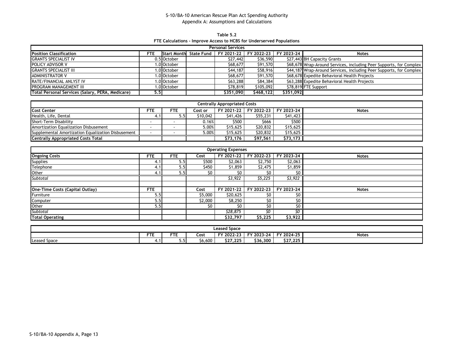**Table 5.2 FTE Calculations - Improve Access to HCBS for Underserved Populations**

| <b>Personal Services</b>                         |                  |             |                        |            |            |            |                                                                     |  |  |  |  |  |
|--------------------------------------------------|------------------|-------------|------------------------|------------|------------|------------|---------------------------------------------------------------------|--|--|--|--|--|
| Position Classification                          | FTE              |             | Start Month State Fund | FY 2021-22 | FY 2022-23 | FY 2023-24 | <b>Notes</b>                                                        |  |  |  |  |  |
| <b>GRANTS SPECIALIST IV</b>                      |                  | 0.5 October |                        | \$27,442   | \$36,590   |            | \$27,443 BH Capacity Grants                                         |  |  |  |  |  |
| POLICY ADVISOR V                                 |                  | 1.0 October |                        | \$68,677   | \$91,570   |            | \$68,678 Wrap-Around Services, including Peer Supports, for Complex |  |  |  |  |  |
| <b>GRANTS SPECIALIST III</b>                     |                  | 1.0 October |                        | \$44,187   | \$58,916   |            | \$44,187 Wrap-Around Services, including Peer Supports, for Complex |  |  |  |  |  |
| <b>ADMINISTRATOR V</b>                           |                  | 1.0 October |                        | \$68,677   | \$91,570   |            | \$68,678 Expedite Behavioral Health Projects                        |  |  |  |  |  |
| <b>RATE/FINANCIAL ANLYST IV</b>                  |                  | 1.0 October |                        | \$63,288   | \$84,384   |            | \$63,288 Expedite Behavioral Health Projects                        |  |  |  |  |  |
| PROGRAM MANAGEMENT III                           |                  | .0 October  |                        | \$78,819   | \$105,092  |            | \$78,819 FTE Support                                                |  |  |  |  |  |
| Total Personal Services (Salary, PERA, Medicare) | 5.5 <sub>1</sub> |             |                        | \$351,090  | \$468.122  | \$351.092  |                                                                     |  |  |  |  |  |

| <b>Centrally Appropriated Costs</b>                |            |      |          |          |          |                                  |              |  |  |  |  |  |
|----------------------------------------------------|------------|------|----------|----------|----------|----------------------------------|--------------|--|--|--|--|--|
| <b>Cost Center</b>                                 | <b>FTE</b> | FTE  | Cost or  |          |          | FY 2021-22 FY 2022-23 FY 2023-24 | <b>Notes</b> |  |  |  |  |  |
| Health, Life, Dental                               | 4.1        | 5.5I | \$10,042 | \$41,426 | \$55,231 | \$41,423                         |              |  |  |  |  |  |
| Short-Term Disability                              |            |      | 0.16%    | \$500    | \$666    | \$500                            |              |  |  |  |  |  |
| Amortization Equalization Disbusement              |            |      | 5.00%    | \$15,625 | \$20,832 | \$15,625                         |              |  |  |  |  |  |
| Supplemental Amortization Equalization Disbusement |            |      | 5.00%    | \$15.625 | \$20,832 | \$15,625                         |              |  |  |  |  |  |
| <b>Centrally Appropriated Costs Total</b>          |            |      |          | \$73,176 | \$97,561 | \$73,173                         |              |  |  |  |  |  |

| <b>Operating Expenses</b>              |            |            |         |            |            |            |              |  |  |  |  |  |  |
|----------------------------------------|------------|------------|---------|------------|------------|------------|--------------|--|--|--|--|--|--|
| <b>Ongoing Costs</b>                   | <b>FTE</b> | <b>FTE</b> | Cost    | FY 2021-22 | FY 2022-23 | FY 2023-24 | <b>Notes</b> |  |  |  |  |  |  |
| <b>Supplies</b>                        | 4.1        | 5.5        | \$500   | \$2,063    | \$2,750    | \$2,063    |              |  |  |  |  |  |  |
| Telephone                              | 4.1        | 5.5        | \$450   | \$1,859    | \$2,475    | \$1,859    |              |  |  |  |  |  |  |
| Other                                  | 4.1        | 5.5        | \$0     |            | \$0        |            |              |  |  |  |  |  |  |
| Subtotal                               |            |            |         | \$3,922    | \$5,225    | \$3,922    |              |  |  |  |  |  |  |
|                                        |            |            |         |            |            |            |              |  |  |  |  |  |  |
| <b>One-Time Costs (Capital Outlay)</b> | <b>FTE</b> |            | Cost    | FY 2021-22 | FY 2022-23 | FY 2023-24 | <b>Notes</b> |  |  |  |  |  |  |
| Furniture                              | 5.5        |            | \$5,000 | \$20,625   | S0         | \$0        |              |  |  |  |  |  |  |
| Computer                               | 5.5        |            | \$2,000 | \$8,250    | \$0        | \$0        |              |  |  |  |  |  |  |
| Other                                  | 5.5        |            | \$0     | S0         | \$0        | SO.        |              |  |  |  |  |  |  |
| Subtotal                               |            |            |         | \$28,875   | ٢ω         | ¢۵         |              |  |  |  |  |  |  |
| <b>Total Operating</b>                 |            |            |         | \$32,797   | \$5,225    | \$3,922    |              |  |  |  |  |  |  |

|                                                                                             | Leased Space |             |         |          |          |          |  |  |  |  |  |  |
|---------------------------------------------------------------------------------------------|--------------|-------------|---------|----------|----------|----------|--|--|--|--|--|--|
| ET.<br>een i<br>FY 2024-25<br>FY 2022-23<br>FY 2023-24<br><b>Notes</b><br>Cost<br>םו<br>. . |              |             |         |          |          |          |  |  |  |  |  |  |
| <b>Leased Space</b>                                                                         | .            | $\sim$<br>. | \$6,600 | \$27.225 | \$36,300 | \$27,225 |  |  |  |  |  |  |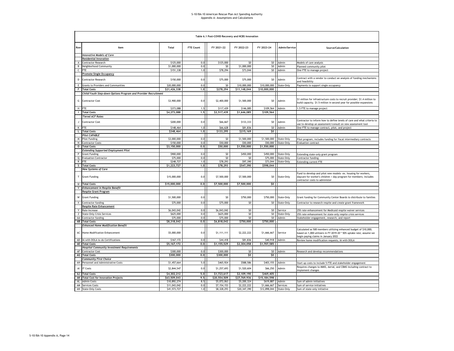|              | Table 6.1 Post-COVID Recovery and HCBS Innovation                          |              |           |              |              |                         |                     |                                                                                                                                                                                |  |  |  |  |  |  |
|--------------|----------------------------------------------------------------------------|--------------|-----------|--------------|--------------|-------------------------|---------------------|--------------------------------------------------------------------------------------------------------------------------------------------------------------------------------|--|--|--|--|--|--|
| Row          | Item                                                                       | <b>Total</b> | FTE Count | FY 2021-22   | FY 2022-23   | FY 2023-24              | Admin/Service       | Source/Calculation                                                                                                                                                             |  |  |  |  |  |  |
|              | <b>Innovative Models of Care</b>                                           |              |           |              |              |                         |                     |                                                                                                                                                                                |  |  |  |  |  |  |
|              | <b>Residential Innovation</b>                                              |              |           |              |              |                         |                     |                                                                                                                                                                                |  |  |  |  |  |  |
| A            | Contractor Research                                                        | \$125,000    | 0.0       | \$125,000    | 50           | \$0                     | Admin               | Models of care analysis                                                                                                                                                        |  |  |  |  |  |  |
| B            | Neighborhood Community                                                     | \$1,000,000  | 0.0       | \$0          | \$1,000,000  | SO                      | Admin               | Planned community pilot                                                                                                                                                        |  |  |  |  |  |  |
| $\mathsf{C}$ | <b>FTE</b>                                                                 | \$151,338    | 1.0       | \$78,294     | \$73,044     | \$0                     | Admin               | One FTE to manage project                                                                                                                                                      |  |  |  |  |  |  |
|              | <u>Promote Single Occupancy</u>                                            |              |           |              |              |                         |                     |                                                                                                                                                                                |  |  |  |  |  |  |
| D            | Contractor Research                                                        | \$150,000    | 0.0       | \$75,000     | \$75,000     | \$0                     | Admin               | Contract with a vendor to conduct an analysis of funding mechanisms<br>and feasibility                                                                                         |  |  |  |  |  |  |
| F.           | Grants to Providers and Communities                                        | \$20,000,000 | 0.0       | 50           | \$10,000,000 | \$10,000,000            | State-Only          | Payments to support single occupancy                                                                                                                                           |  |  |  |  |  |  |
| F.           | <b>Total Costs</b>                                                         | \$21,426,338 | 1.0       | \$278,294    | \$11,148,044 | \$10,000,000            |                     |                                                                                                                                                                                |  |  |  |  |  |  |
|              | Child/Youth Step-down Options Program and Provider Recruitment             |              |           |              |              |                         |                     |                                                                                                                                                                                |  |  |  |  |  |  |
| G            | <b>Contractor Cost</b>                                                     | \$3,900,000  | 0.0       | \$2,400,000  | \$1,500,000  | \$0                     | Admin               | \$1 million for infrastructure costs to recruit provider; \$1.4 million to<br>build capacity. \$1.5 million in second year for possible expansions                             |  |  |  |  |  |  |
|              | H FTE                                                                      | \$373,088    | 1.5       | \$117,439    | \$146,085    | \$109,564               | Admin               | 1.5 FTE to manage project                                                                                                                                                      |  |  |  |  |  |  |
|              | <b>Total Costs</b>                                                         | \$4,273,088  | 1.5       | \$2,517,439  | \$1,646,085  | \$109,564               |                     |                                                                                                                                                                                |  |  |  |  |  |  |
|              | <b>Tiered ACF Rates</b>                                                    |              |           |              |              |                         |                     |                                                                                                                                                                                |  |  |  |  |  |  |
|              | <b>Contractor Cost</b>                                                     | \$200,000    | 0.0       | \$66,667     | \$133,333    | SO                      | Admin               | Contractor to inform how to define levels of care and what criteria to<br>use to develop an assessment/consult on new assessment tool                                          |  |  |  |  |  |  |
| K            | <b>FTF</b>                                                                 | \$148,464    | 1.0       | \$66,628     | \$81,836     | $50 -$                  | Admin               | One FTE to manage contract, pilot, and project                                                                                                                                 |  |  |  |  |  |  |
| $\mathbf{L}$ | <b>Total Costs</b>                                                         | \$348,464    | 1,0       | \$133,295    | \$215,169    | \$O                     |                     |                                                                                                                                                                                |  |  |  |  |  |  |
|              | <b>Pilot CAPABLE</b>                                                       |              |           |              |              |                         |                     |                                                                                                                                                                                |  |  |  |  |  |  |
| M            | <b>Pilot Funding</b>                                                       | \$3,000,000  | 0.0       | \$0          | \$1,500,000  | \$1,500,000 State-Only  |                     | Pilot program; includes funding for fiscal intermediary contracts                                                                                                              |  |  |  |  |  |  |
| N            | <b>Contractor Costs</b>                                                    | \$150,000    | 0.0       | \$50,000     | \$50,000     |                         | \$50,000 State-Only | <b>Evaluation contract</b>                                                                                                                                                     |  |  |  |  |  |  |
|              | <b>O</b> Total Costs                                                       | \$3,150,000  | 0.0       | \$50,000     | \$1,550,000  | \$1,550,000             |                     |                                                                                                                                                                                |  |  |  |  |  |  |
|              | <b>Extending Supported Employment Pilot</b>                                |              |           |              |              |                         |                     |                                                                                                                                                                                |  |  |  |  |  |  |
|              | <b>Grant Funding</b>                                                       | \$900,000    | 0.0       | \$0          | \$450,000    | \$450,000               | State-Only          | Extending state-only grant program                                                                                                                                             |  |  |  |  |  |  |
|              | Q Evaluation Contractor                                                    | \$75,000     | 0.0       | \$0          | 50           | \$75,000                | State-Only          | Contractor funding                                                                                                                                                             |  |  |  |  |  |  |
| R            | <b>FTE</b>                                                                 | \$248,727    | 1.0       | \$78,293     | \$97,390     | \$73,044                | State-Only          | <b>Extending current FTE</b>                                                                                                                                                   |  |  |  |  |  |  |
|              | S Total Costs                                                              | \$1,223,727  | 1.0       | \$78,293     | \$547,390    | \$598,044               |                     |                                                                                                                                                                                |  |  |  |  |  |  |
|              | <b>New Systems of Care</b><br><b>Grant Funding</b>                         | \$15,000,000 | 0.0       | \$7,500,000  | \$7,500,000  | \$0                     | State-Only          | Fund to develop and pilot new models- ex. housing for workers,<br>daycare for worker's children + day program for members; includes<br>contractor costs to administer          |  |  |  |  |  |  |
|              | U Total Costs                                                              | \$15,000,000 | 0.0       | \$7,500,000  | \$7,500,000  | \$0 T                   |                     |                                                                                                                                                                                |  |  |  |  |  |  |
| v            | <b>Enhancement in Respite Benefit</b>                                      |              |           |              |              |                         |                     |                                                                                                                                                                                |  |  |  |  |  |  |
|              | <b>Respite Grant Program</b>                                               |              |           |              |              |                         |                     |                                                                                                                                                                                |  |  |  |  |  |  |
| W            | <b>Grant Funding</b>                                                       | \$1,500,000  | 0.0       | \$0          | \$750,000    | \$750,000               | State-Only          | Grant funding for Community Center Boards to distribute to families                                                                                                            |  |  |  |  |  |  |
|              | Contractor funding                                                         | \$75,000     | 0.0       | \$75,000     | \$0          |                         | \$0 State-Only      | Contractor to research respite and create grant framework                                                                                                                      |  |  |  |  |  |  |
|              | <b>Respite Rate Enhancement</b>                                            |              |           |              |              |                         |                     |                                                                                                                                                                                |  |  |  |  |  |  |
|              | Rate Increase                                                              | \$6,043,042  | 0.0       | \$6,043,042  | SO           | \$0                     | Service             | 25% rate enhancement for Medicaid respite waiver services                                                                                                                      |  |  |  |  |  |  |
| z            | <b>State-Only Crisis Services</b>                                          | \$625,000    | 0.0       | \$625,000    | SO           | SO                      | State-Only          | 25% rate enhancement for state-only respite crisis services                                                                                                                    |  |  |  |  |  |  |
| AA           | Contractor funding                                                         | \$75,000     | 0.0       | \$75,000     | \$0          | \$0                     | Admin               | Stakeholder engagement, research, and report                                                                                                                                   |  |  |  |  |  |  |
|              | <b>AB</b> Total Costs                                                      | \$8,318,042  | 0.0       | \$6,818,042  | \$750,000    | \$750,000               |                     |                                                                                                                                                                                |  |  |  |  |  |  |
|              | <b>Enhanced Home Modification Benefit</b><br>Home Modification Enhancement | \$5,000,000  | 0.0       | \$1,111,111  | \$2,222,222  | \$1,666,667             | Service             | Calculated as 500 members utilizing enhanced budget of \$10,000;<br>based on 1,000 utilizers in FY 2019-20 * 50% uptake rate; assume we<br>begin paying claims in January 2022 |  |  |  |  |  |  |
|              | AD IA with DOLA to do Certifications                                       | \$167,172    | 0.0       | \$44,418     | \$81,836     | \$40,918 Admin          |                     | Review home modification requests; IA with DOLA                                                                                                                                |  |  |  |  |  |  |
|              | <b>AE</b> Total Costs                                                      | \$5,167,172  | 0.0       | \$1,155,529  | \$2,304,058  | \$1,707,585             |                     |                                                                                                                                                                                |  |  |  |  |  |  |
|              | <b>Hospital Community Investment Requirements</b>                          |              |           |              |              |                         |                     |                                                                                                                                                                                |  |  |  |  |  |  |
|              | AF Contractor Cost                                                         | \$300,000    | 0.0       | \$300,000    | SO           |                         | \$0 Admin           | Research and develop recommendations                                                                                                                                           |  |  |  |  |  |  |
|              | <b>AG</b> Total Costs                                                      | \$300,000    | 0.0       | \$300,000    | \$0          | $50-1$                  |                     |                                                                                                                                                                                |  |  |  |  |  |  |
|              | Community First Choice                                                     |              |           |              |              |                         |                     |                                                                                                                                                                                |  |  |  |  |  |  |
|              | Personnel and Administrative Costs                                         | \$1,457,664  | 5.0       | \$465,924    | \$588,586    | \$403,155               | Admin               | Start up costs to include 5 FTE and stakeholder engagement                                                                                                                     |  |  |  |  |  |  |
| AI           | <b>IT Costs</b>                                                            | \$2,844,547  | 0.0       | \$1,257,693  | \$1,520,604  | \$66,250                | Admin               | Requires changes to MMIS, Aerial, and CBMS including contract to<br>implement changes                                                                                          |  |  |  |  |  |  |
|              | AJ Total Costs                                                             | \$4,302,212  | 5.0       | \$1,723,617  | \$2,109,190  | \$469,405               |                     |                                                                                                                                                                                |  |  |  |  |  |  |
|              | AK Total Cost for Innovation Projects                                      | \$63,509,043 | 9.5       | \$20,554,509 | \$27,769,936 | \$15,184,598            |                     |                                                                                                                                                                                |  |  |  |  |  |  |
| AL.          | <b>Admin Costs</b>                                                         | \$10,892,274 | 8.5       | \$5,072,063  | \$5,200,324  | \$619,887               | Admin               | Sum of admin initiatives                                                                                                                                                       |  |  |  |  |  |  |
|              | AM Services Costs                                                          | \$11,043,042 | 0.0       | \$7,154,153  | \$2,222,222  | \$1,666,667             | Services            | Sum of service initiatives                                                                                                                                                     |  |  |  |  |  |  |
|              | AN State-Only Costs                                                        | \$41,573,727 | 1.0       | \$8,328,293  | \$20,347,390 | \$12,898,044 State-Only |                     | Sum of state-only initiative                                                                                                                                                   |  |  |  |  |  |  |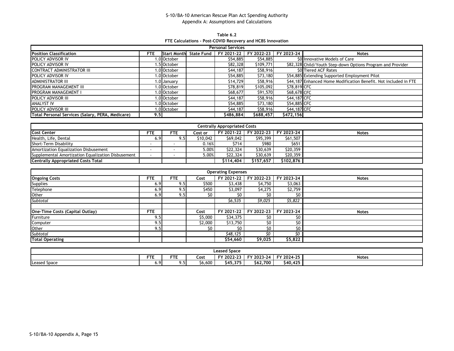**Table 6.2 FTE Calculations - Post-COVID Recovery and HCBS Innovation**

|                                                  | <b>Personal Services</b> |                    |                   |            |            |              |                                                                  |  |  |  |  |  |  |
|--------------------------------------------------|--------------------------|--------------------|-------------------|------------|------------|--------------|------------------------------------------------------------------|--|--|--|--|--|--|
| <b>Position Classification</b>                   | <b>FTE</b>               | <b>Start Month</b> | <b>State Fund</b> | FY 2021-22 | FY 2022-23 | FY 2023-24   | <b>Notes</b>                                                     |  |  |  |  |  |  |
| POLICY ADVISOR IV                                |                          | i.0 October        |                   | \$54,885   | \$54,885   |              | \$0 Innovative Models of Care                                    |  |  |  |  |  |  |
| POLICY ADVISOR IV                                |                          | 1.5 October        |                   | \$82,328   | \$109,771  |              | \$82,328 Child/Youth Step-down Options Program and Provider      |  |  |  |  |  |  |
| CONTRACT ADMINISTRATOR III                       |                          | 1.0 October        |                   | \$44,187   | \$58,916   |              | \$0 Tiered ACF Rates                                             |  |  |  |  |  |  |
| POLICY ADVISOR IV                                |                          | 1.0 October        |                   | \$54,885   | \$73,180   |              | \$54,885 Extending Supported Employment Pilot                    |  |  |  |  |  |  |
| <b>ADMINISTRATOR III</b>                         |                          | 1.0 January        |                   | \$14,729   | \$58,916   |              | \$44,187 Enhanced Home Modification Benefit. Not included in FTE |  |  |  |  |  |  |
| PROGRAM MANAGEMENT III                           |                          | 1.0 October        |                   | \$78,819   | \$105,092  | \$78,819 CFC |                                                                  |  |  |  |  |  |  |
| PROGRAM MANAGEMENT I                             |                          | 1.0 October        |                   | \$68,677   | \$91,570   | \$68,678 CFC |                                                                  |  |  |  |  |  |  |
| POLICY ADVISOR III                               |                          | 1.0 October        |                   | \$44,187   | \$58,916   | \$44,187 CFC |                                                                  |  |  |  |  |  |  |
| <b>ANALYST IV</b>                                |                          | 1.0 October        |                   | \$54,885   | \$73,180   | \$54,885 CFC |                                                                  |  |  |  |  |  |  |
| POLICY ADVISOR III                               |                          | 1.0 October        |                   | \$44,187   | \$58,916   | \$44,187 CFC |                                                                  |  |  |  |  |  |  |
| Total Personal Services (Salary, PERA, Medicare) | 9.5                      |                    |                   | \$486,884  | \$688,457  | \$472,156    |                                                                  |  |  |  |  |  |  |

| <b>Centrally Appropriated Costs</b>                |      |            |          |           |                                  |           |              |  |  |  |  |  |
|----------------------------------------------------|------|------------|----------|-----------|----------------------------------|-----------|--------------|--|--|--|--|--|
| <b>Cost Center</b>                                 | FTE. | <b>FTE</b> | Cost or  |           | FY 2021-22 FY 2022-23 FY 2023-24 |           | <b>Notes</b> |  |  |  |  |  |
| Health, Life, Dental                               | 6.9  |            | \$10,042 | \$69,042  | \$95,399                         | \$61,507  |              |  |  |  |  |  |
| Short-Term Disability                              |      |            | 0.16%    | S714      | \$980                            | \$651     |              |  |  |  |  |  |
| Amortization Equalization Disbusement              |      |            | 5.00%    | \$22,324  | \$30,639                         | \$20,359  |              |  |  |  |  |  |
| Supplemental Amortization Equalization Disbusement |      |            | 5.00%    | \$22,324  | \$30,639                         | \$20,359  |              |  |  |  |  |  |
| <b>Centrally Appropriated Costs Total</b>          |      |            |          | \$114.404 | \$157.657                        | \$102,876 |              |  |  |  |  |  |

| <b>Operating Expenses</b>       |            |            |         |            |            |            |              |  |  |  |  |  |  |
|---------------------------------|------------|------------|---------|------------|------------|------------|--------------|--|--|--|--|--|--|
| <b>Ongoing Costs</b>            | <b>FTE</b> | <b>FTE</b> | Cost    | FY 2021-22 | FY 2022-23 | FY 2023-24 | <b>Notes</b> |  |  |  |  |  |  |
| <b>Supplies</b>                 | 6.9        | 9.5        | \$500   | \$3,438    | \$4,750    | \$3,063    |              |  |  |  |  |  |  |
| Telephone                       | 6.9        | 9.5        | \$450   | \$3,097    | \$4,275    | \$2,759    |              |  |  |  |  |  |  |
| Other                           | 6.9        | 9.5        | \$0     | \$0        | \$0        | \$0        |              |  |  |  |  |  |  |
| Subtotal                        |            |            |         | \$6,535    | \$9,025    | \$5,822    |              |  |  |  |  |  |  |
|                                 |            |            |         |            |            |            |              |  |  |  |  |  |  |
| One-Time Costs (Capital Outlay) | <b>FTE</b> |            | Cost    | FY 2021-22 | FY 2022-23 | FY 2023-24 | <b>Notes</b> |  |  |  |  |  |  |
| Furniture                       | 9.5        |            | \$5,000 | \$34,375   | \$0        | \$0        |              |  |  |  |  |  |  |
| Computer                        | 9.5        |            | \$2,000 | \$13,750   | \$0        | SO.        |              |  |  |  |  |  |  |
| Other                           | 9.5        |            | \$0     | \$0        | \$0        | \$0        |              |  |  |  |  |  |  |
| Subtotal                        |            |            |         | \$48,125   | ٢n         | \$0        |              |  |  |  |  |  |  |
| <b>Total Operating</b>          |            |            |         | \$54,660   | \$9,025    | \$5,822    |              |  |  |  |  |  |  |

| <b>Leased Space</b>                                                                              |  |  |  |  |  |  |  |  |  |  |  |
|--------------------------------------------------------------------------------------------------|--|--|--|--|--|--|--|--|--|--|--|
| FY 2024-25<br>FY 2022-23<br>FY 2023-24<br><b>CTC</b><br>--<br><b>Notes</b><br>Cost<br>. .<br>. . |  |  |  |  |  |  |  |  |  |  |  |
| \$45.375<br>\$62,700<br>\$40,425<br>\$6,600<br>6.9<br>Leased Space<br>כ.ע                        |  |  |  |  |  |  |  |  |  |  |  |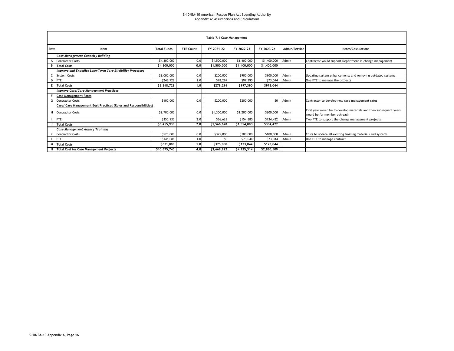|     |                                                                   |                    |                  | Table 7.1 Case Management |             |                   |               |                                                                                                    |
|-----|-------------------------------------------------------------------|--------------------|------------------|---------------------------|-------------|-------------------|---------------|----------------------------------------------------------------------------------------------------|
|     |                                                                   |                    |                  |                           |             |                   |               |                                                                                                    |
| Row | Item                                                              | <b>Total Funds</b> | <b>FTE Count</b> | FY 2021-22                | FY 2022-23  | FY 2023-24        | Admin/Service | <b>Notes/Calculations</b>                                                                          |
|     | <b>Case Management Capacity Building</b>                          |                    |                  |                           |             |                   |               |                                                                                                    |
|     | A Contractor Costs                                                | \$4,300,000        | 0.0              | \$1,500,000               | \$1,400,000 | \$1,400,000 Admin |               | Contractor would support Department in change management                                           |
|     | <b>B</b> Total Costs                                              | \$4,300,000        | 0.0              | \$1,500,000               | \$1,400,000 | \$1,400,000       |               |                                                                                                    |
|     | Improve and Expedite Long-Term Care Eligibility Processes         |                    |                  |                           |             |                   |               |                                                                                                    |
|     | C System Costs                                                    | \$2,000,000        | 0.0              | \$200,000                 | \$900,000   | \$900,000 Admin   |               | Updating system enhancements and removing outdated systems                                         |
|     | D FTE                                                             | \$248,728          | 1.0              | \$78,294                  | \$97,390    | \$73,044 Admin    |               | One FTE to manage the projects                                                                     |
|     | <b>E</b> Total Costs                                              | \$2,248,728        | 1,0              | \$278,294                 | \$997,390   | \$973,044         |               |                                                                                                    |
|     | <b>Improve Case/Care Management Practices</b>                     |                    |                  |                           |             |                   |               |                                                                                                    |
|     | <b>Case Management Rates</b>                                      |                    |                  |                           |             |                   |               |                                                                                                    |
| G.  | <b>Contractor Costs</b>                                           | \$400,000          | 0.0              | \$200,000                 | \$200,000   |                   | \$0 Admin     | Contractor to develop new case management rates                                                    |
|     | Case/ Care Management Best Practices (Roles and Responsibilities) |                    |                  |                           |             |                   |               |                                                                                                    |
|     | H Contractor Costs                                                | \$2,700,000        | 0.0              | \$1,300,000               | \$1,200,000 | \$200,000         | Admin         | First year would be to develop materials and then subsequent years<br>would be for member outreach |
|     | <b>IFTE</b>                                                       | \$355,930          | 2.0              | \$66,628                  | \$154,880   | \$134,422 Admin   |               | Two FTE to support the change management projects                                                  |
|     | J Total Costs                                                     | \$3,455,930        | 2.0              | \$1,566,628               | \$1,554,880 | \$334,422         |               |                                                                                                    |
|     | <b>Case Management Agency Training</b>                            |                    |                  |                           |             |                   |               |                                                                                                    |
|     | K Contractor Costs                                                | \$525,000          | 0.0              | \$325,000                 | \$100,000   | \$100,000         | Admin         | Costs to update all existing training materials and systems                                        |
|     | <b>FTE</b>                                                        | \$146,088          | 1.0              | \$0                       | \$73,044    | \$73,044 Admin    |               | One FTE to manage contract                                                                         |
|     | M Total Costs                                                     | \$671,088          | 1.0              | \$325,000                 | \$173.044   | \$173,044         |               |                                                                                                    |
|     | <b>Total Cost for Case Management Projects</b>                    | \$10,675,745       | 4.0              | \$3,669,922               | \$4,125,314 | \$2,880,509       |               |                                                                                                    |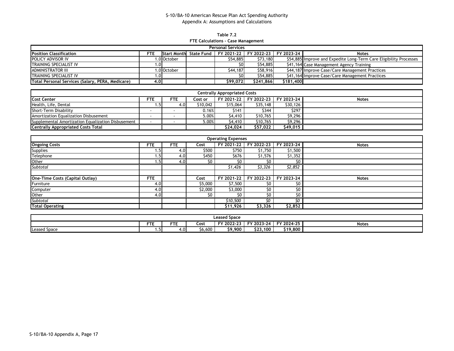**Table 7.2 FTE Calculations - Case Management**

| <b>Personal Services</b>                         |                 |             |  |                                                               |           |           |                                                                    |  |  |  |  |  |
|--------------------------------------------------|-----------------|-------------|--|---------------------------------------------------------------|-----------|-----------|--------------------------------------------------------------------|--|--|--|--|--|
| <b>Position Classification</b>                   | FTE             |             |  | Start Month State Fund   FY 2021-22   FY 2022-23   FY 2023-24 |           |           | <b>Notes</b>                                                       |  |  |  |  |  |
| POLICY ADVISOR IV                                |                 | 1.0lOctober |  | \$54,885                                                      | \$73,180  |           | \$54,885 Improve and Expedite Long-Term Care Eligibility Processes |  |  |  |  |  |
| TRAINING SPECIALIST IV                           | ≀0.،            |             |  | S0I                                                           | \$54,885  |           | \$41,164 Case Management Agency Training                           |  |  |  |  |  |
| <b>ADMINISTRATOR III</b>                         |                 | 1.0 October |  | \$44,187                                                      | \$58,916  |           | \$44,187 Improve Case/Care Management Practices                    |  |  |  |  |  |
| <b>TRAINING SPECIALIST IV</b>                    | .0 <sub>1</sub> |             |  | SO I                                                          | \$54,885  |           | \$41,164 Improve Case/Care Management Practices                    |  |  |  |  |  |
| Total Personal Services (Salary, PERA, Medicare) | 4.0             |             |  | \$99,072                                                      | \$241.866 | \$181,400 |                                                                    |  |  |  |  |  |

| <b>Centrally Appropriated Costs</b>                |      |     |          |          |          |                                  |              |  |  |  |  |  |
|----------------------------------------------------|------|-----|----------|----------|----------|----------------------------------|--------------|--|--|--|--|--|
| <b>Cost Center</b>                                 | FTE  | FTE | Cost or  |          |          | FY 2021-22 FY 2022-23 FY 2023-24 | <b>Notes</b> |  |  |  |  |  |
| Health, Life, Dental                               | ۱.5۰ | 4.0 | \$10,042 | \$15,064 | \$35,148 | \$30,126                         |              |  |  |  |  |  |
| Short-Term Disability                              |      |     | 0.16%    | \$141    | \$344    | \$297                            |              |  |  |  |  |  |
| Amortization Equalization Disbusement              |      |     | 5.00%    | \$4,410  | \$10,765 | \$9,296                          |              |  |  |  |  |  |
| Supplemental Amortization Equalization Disbusement |      |     | 5.00%    | \$4,410  | \$10,765 | \$9,296                          |              |  |  |  |  |  |
| <b>Centrally Appropriated Costs Total</b>          |      |     |          | \$24,024 | \$57.022 | \$49,015                         |              |  |  |  |  |  |

| <b>Operating Expenses</b>       |            |                  |         |            |            |            |              |  |  |  |  |  |  |
|---------------------------------|------------|------------------|---------|------------|------------|------------|--------------|--|--|--|--|--|--|
| <b>Ongoing Costs</b>            | <b>FTE</b> | <b>FTE</b>       | Cost    | FY 2021-22 | FY 2022-23 | FY 2023-24 | <b>Notes</b> |  |  |  |  |  |  |
| <b>Supplies</b>                 | 1.5        | 4.0              | \$500   | \$750      | \$1,750    | \$1,500    |              |  |  |  |  |  |  |
| Telephone                       | 1.5        | 4.0 <sub>1</sub> | \$450   | \$676      | \$1,576    | \$1,352    |              |  |  |  |  |  |  |
| Other                           | 1.5        | 4.0              | \$0     | \$0        | \$0        | \$O        |              |  |  |  |  |  |  |
| Subtotal                        |            |                  |         | \$1,426    | \$3,326    | \$2,852    |              |  |  |  |  |  |  |
|                                 |            |                  |         |            |            |            |              |  |  |  |  |  |  |
| One-Time Costs (Capital Outlay) | <b>FTE</b> |                  | Cost    | FY 2021-22 | FY 2022-23 | FY 2023-24 | <b>Notes</b> |  |  |  |  |  |  |
| Furniture                       | 4.0        |                  | \$5,000 | \$7,500    | \$0        | \$O        |              |  |  |  |  |  |  |
| Computer                        | 4.0        |                  | \$2,000 | \$3,000    | \$0        | \$0        |              |  |  |  |  |  |  |
| Other                           | 4.0        |                  | \$0     | SO.        | \$0        | \$0        |              |  |  |  |  |  |  |
| Subtotal                        |            |                  |         | \$10,500   | ٢n         | SO         |              |  |  |  |  |  |  |
| <b>Total Operating</b>          |            |                  |         | \$11,926   | \$3,326    | \$2,852    |              |  |  |  |  |  |  |

| <b>Leased Space</b>                                                                               |  |  |  |  |  |  |  |  |  |  |  |
|---------------------------------------------------------------------------------------------------|--|--|--|--|--|--|--|--|--|--|--|
| cт.<br><b>CTI</b><br>FY 2024-25<br>FY 2023-24<br>FY 2022-23<br><b>Notes</b><br>Cost<br>. .<br>. . |  |  |  |  |  |  |  |  |  |  |  |
| \$19,800<br>\$23,100<br>\$6,600<br>\$9,900<br><b>Leased Space</b><br>4.U<br>.                     |  |  |  |  |  |  |  |  |  |  |  |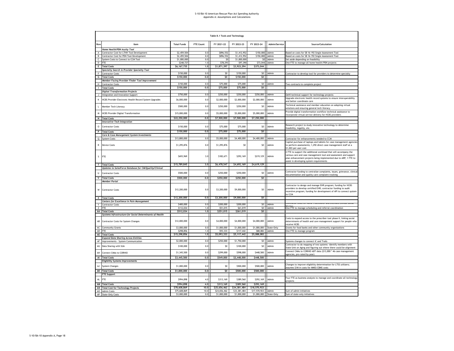|              |                                                                                   |                              |                  | Table 8.1 Tools and Technology |                              |                              |               |                                                                                                                                                                                                                                                      |
|--------------|-----------------------------------------------------------------------------------|------------------------------|------------------|--------------------------------|------------------------------|------------------------------|---------------|------------------------------------------------------------------------------------------------------------------------------------------------------------------------------------------------------------------------------------------------------|
| Row          | Item                                                                              | <b>Total Funds</b>           | FTE Count        | FY 2021-22                     | FY 2022-23                   | FY 2023-24                   | Admin/Service | Source/Calculation                                                                                                                                                                                                                                   |
|              | Home Health/PDN Acuity Tool                                                       |                              |                  |                                |                              |                              |               |                                                                                                                                                                                                                                                      |
| $\mathsf{A}$ | Contractor Cost for LTHH Tool Development                                         | \$2,459,504                  | 0.0              | \$896,552                      | \$1,412,952                  | \$150,000                    | Admin         | Based on costs for SB 16-192 Single Assessment Tool                                                                                                                                                                                                  |
| В            | Contractor Cost for PDN Tool Development                                          | \$2,459,504                  | 0.0              | \$896,552                      | \$1,412,952                  | \$150,000                    | Admin         | Based on costs for SB 16-192 Single Assessment Tool                                                                                                                                                                                                  |
|              | C System Costs to Connect to CCM Tool                                             | \$1,000,000                  | 0.0              | \$0                            | \$1,000,000                  | \$0                          | Admin         | Set aside depending on feasibility                                                                                                                                                                                                                   |
| D FTE        |                                                                                   | \$248,727                    | 1.0              | \$78,293                       | \$97,390                     | \$73,044                     | Admin         | One FTE to manage all home health/PDN projects                                                                                                                                                                                                       |
|              | E Total Costs                                                                     | \$6,167,735                  | 1.0              | \$1,871,397                    | \$3,923,294                  | \$373,044                    |               |                                                                                                                                                                                                                                                      |
|              | Specialty Search in Provider Specialty Tool                                       |                              |                  |                                |                              |                              |               |                                                                                                                                                                                                                                                      |
| F            | <b>Contractor Costs</b>                                                           | \$150,000                    | 0.0              | S <sub>0</sub>                 | \$150,000                    | SO                           | Admin         | Contractor to develop tool for providers to determine specialty                                                                                                                                                                                      |
|              | <b>G</b> Total Costs                                                              | \$150,000                    | 0.0              | \$0                            | \$150,000                    | \$0                          |               |                                                                                                                                                                                                                                                      |
|              | Member Facing Provider Finder Tool Improvement                                    | \$150,000                    | 0.0              | \$75,000                       | \$75,000                     | \$0                          | Admin         |                                                                                                                                                                                                                                                      |
| $\mathbf{L}$ | H Contractor Costs                                                                | \$150,000                    | 0.0              | \$75,000                       | \$75,000                     | \$0                          |               | Two contracts to complete project                                                                                                                                                                                                                    |
|              | <b>Total Costs</b><br><b>Digital Transformation Projects</b>                      |                              |                  |                                |                              |                              |               |                                                                                                                                                                                                                                                      |
|              | J Integration and Innovation Support                                              | \$750,000                    | 0.0              | \$250,000                      | \$250,000                    | \$250,000                    | Admin         | OeHI technical support for technology projects                                                                                                                                                                                                       |
|              |                                                                                   |                              |                  |                                |                              |                              |               | Upgrade electronic health record systems to ensure interoperability                                                                                                                                                                                  |
| К            | HCBS Provider Electronic Health Record System Upgrades                            | \$6,000,000                  | 0.0              | \$2,000,000                    | \$2,000,000                  | \$2,000,000                  | Admin         | ind better coordinate care<br>Technical assistance and member education on adopting virtual                                                                                                                                                          |
| $\mathsf L$  | Member Tech Literacy                                                              | \$500,000                    | 0.0              | \$250,000                      | \$250,000                    | \$0                          | Admin         | olutions and ensuring general tech literacy<br>Provide digital transformation workflow technical assistance to                                                                                                                                       |
| W<br>N       | <b>HCBS Provider Digital Transformation</b><br><b>Total Costs</b>                 | \$15,000,000<br>\$22,250,000 | 0.0<br>0.0       | \$5,000,000<br>\$7,500,000     | \$5,000,000<br>\$7,500,000   | \$5,000,000<br>\$7,250,000   | Admin         | ncorporate virtual service delivery for HCBS providers                                                                                                                                                                                               |
|              | <b>Innovative Tech Integration</b>                                                |                              |                  |                                |                              |                              |               |                                                                                                                                                                                                                                                      |
|              |                                                                                   |                              |                  |                                |                              |                              |               | Research project to study innovative technology to determine                                                                                                                                                                                         |
| $\circ$      | <b>Contractor Costs</b><br>P Total Costs                                          | \$150,000<br>\$150,000       | 0.0<br>0.0       | \$75,000<br>\$75,000           | \$75,000<br>\$75,000         | \$0<br>\$0                   | Admin         | feasibility, legality, etc.                                                                                                                                                                                                                          |
|              | Care & Case Management System Investments                                         |                              |                  |                                |                              |                              |               |                                                                                                                                                                                                                                                      |
| Q            | <b>System Costs</b>                                                               | \$13,800,000                 | 0.0              | \$5,000,000                    | \$4,400,000                  | \$4,400,000                  | Admin         | ontractor for enhancements needed to CCM                                                                                                                                                                                                             |
| $\mathsf{R}$ | <b>Device Costs</b>                                                               | \$1,295,876                  | 0.0              | \$1,295,876                    | \$0                          | \$0                          | Admin         | apital purchase of laptops and tablets for case management agencies<br>to perform assessments; 1,292 direct case management staff at a<br>\$1,003 per-user cost                                                                                      |
| $\sf S$      | FTE                                                                               | \$693,969                    | 3.0              | \$182,671                      | \$292,169                    | \$219,129                    | Admin         | 2 FTE to support the additional workload that will accompany the<br>various care and case management tool and assessment and support<br>plan enhancement projects being implemented due to ARP; 1 FTE to<br>assist in developing system requirements |
|              | T Total Costs                                                                     | \$15,789,845                 | 3.0              | \$6,478,547                    | \$4,692,169                  | \$4,619,129                  |               |                                                                                                                                                                                                                                                      |
|              | Updates to SalesForce Database for CM/Quality/Clinical                            |                              |                  |                                |                              |                              |               |                                                                                                                                                                                                                                                      |
| $\mathbf{u}$ | <b>Contractor Costs</b>                                                           | \$500,000                    | 0.0              | \$250,000                      | \$250,000                    | \$0                          | Admin         | Contractor funding to centralize complaints, issues, grievance, clinical<br>documentation and quality care complaint tracking                                                                                                                        |
| v            | <b>Total Costs</b>                                                                | \$500,000                    | 0.0              | \$250,000                      | \$250,000                    | \$0                          |               |                                                                                                                                                                                                                                                      |
|              | <b>Member Portal</b>                                                              |                              |                  |                                |                              |                              |               | Contractor to design and manage EHR program; funding for HCBS<br>providers to develop certified EHR; contractor funding to audit                                                                                                                     |
| w            | <b>Contractor Costs</b>                                                           | \$12,200,000                 | 0.0              | \$3,200,000                    | \$9,000,000                  | S <sub>0</sub>               | Admin         | incentive program; funding for development of API to connect system<br>to CCM                                                                                                                                                                        |
|              | X Total Costs                                                                     | \$12,200,000                 | 0.0              | \$3,200,000                    | \$9,000,000                  | \$0                          |               |                                                                                                                                                                                                                                                      |
| Y.           | Centers for Excellence in Pain Management<br>Contractor Costs                     | \$400,000                    | 0.0              | \$200,000                      | \$200,000                    | \$0                          | Admin         | ontractor costs for nurse Practitioner and Licensed Clinical Social                                                                                                                                                                                  |
| z            | FTE                                                                               | \$112,034                    | 1.0              | \$51,015                       | \$61,019                     | \$0                          | Admin         | One FTE to manage scheduling and referral coordination                                                                                                                                                                                               |
|              | <b>AA</b> Total Costs                                                             | \$512,034                    | 1.0              | \$251,015                      | \$261,019                    | <b>SO</b>                    |               |                                                                                                                                                                                                                                                      |
|              | Systems Infrastructure for Social Determinants of Health                          |                              |                  |                                |                              |                              |               |                                                                                                                                                                                                                                                      |
| AB           | Contractor Costs for System Changes                                               | \$12,000,000                 | 0.0              | \$4,000,000                    | \$4,000,000                  | \$4,000,000                  | Admin         | Costs to expand access to the prescriber tool phase II, linking social<br>determinants of health and care management support for people who<br>eceive HCBS                                                                                           |
| AC           | <b>Community Grants</b>                                                           | \$3,000,000                  | 0.0              | \$1,000,000                    | \$1,000,000                  | \$1,000,000                  | State-Only    | Grants for food banks and other community organizations                                                                                                                                                                                              |
| AD FTE       |                                                                                   | \$298,856                    | $1.0$            | \$93,333                       | \$117,442                    | \$88,082                     | Admin         | One FTE to manage program                                                                                                                                                                                                                            |
|              | <b>AE</b> Total Costs                                                             | \$15,298,856                 | 1,0              | \$5,093,333                    | \$5,117,442                  | \$5,088,082                  |               |                                                                                                                                                                                                                                                      |
| AF           | <b>Expand Data Sharing Across Entities</b><br>Improvements - System Communication | \$2,000,000                  | 0.0              | \$250,000                      | \$1,750,000                  | \$0                          | Admin         | Systems changes to connect iC and Trails                                                                                                                                                                                                             |
| AG           | Data Sharing with SUA                                                             | \$100,000                    | 0.0              | S <sub>0</sub>                 | \$100,000                    | \$0                          | Admin         | Contractor to do mapping of two systems -identify members with<br>itate Unit on Aging and figuring out where there could be alignment                                                                                                                |
| AH           | Connect CMAs to CORHIO                                                            | \$1,345,500                  | 0.0              | \$299,000                      | \$598,000                    | \$448,500                    | Admin         | Connect CMAs to CORHIO ADT data (\$13,000 * 46 case management<br>gencies, pro-rated by year)                                                                                                                                                        |
|              | Al Total Costs                                                                    | \$3,445,500                  | 0.0              | \$549,000                      | \$2,448,000                  | \$448,500                    |               |                                                                                                                                                                                                                                                      |
|              | <b>Eligibility Systems Improvements</b>                                           |                              |                  |                                |                              |                              |               |                                                                                                                                                                                                                                                      |
| AJ           | <b>System Changes</b>                                                             | \$1,000,000                  | 0.0              | \$0                            | \$500,000                    | \$500,000                    | Admin         | Changes to improve eligibility determination for LTSS utilizers;<br>assumes \$1M in costs for MMIS/CBMS costs                                                                                                                                        |
|              | <b>AK Total Costs</b>                                                             | \$1,000,000                  | 0.0 <sub>1</sub> | \$0                            | \$500,000                    | \$500,000                    |               |                                                                                                                                                                                                                                                      |
|              | <b>FTE Support</b>                                                                |                              |                  |                                |                              |                              |               |                                                                                                                                                                                                                                                      |
| AL           | FTE                                                                               | \$994,898                    | 4.0              | \$313,169                      | \$389,560                    | \$292,169                    | Admin         | Four FTE as business analysts to manage and coordinate all technology<br>projects                                                                                                                                                                    |
|              | <b>AM</b> Total Costs                                                             | \$994,898                    | 4.0              | \$313,169                      | \$389,560                    | \$292,169                    |               |                                                                                                                                                                                                                                                      |
|              | <b>AN</b> Total Cost for Technology Projects                                      | \$78,608,869<br>\$75,608,869 | 10.0<br>10.0     | \$25,656,462<br>\$24,656,462   | \$34,381,484<br>\$33,381,484 | \$18,570,923<br>\$17,570,923 | Admin         | um of admin initiatives                                                                                                                                                                                                                              |
|              | AO Admin Costs<br>AP State-Only Costs                                             | \$3,000,000                  | 0.0              | \$1,000,000                    | \$1,000,000                  | \$1,000,000 State-Only       |               | Sum of state-only initiatives                                                                                                                                                                                                                        |
|              |                                                                                   |                              |                  |                                |                              |                              |               |                                                                                                                                                                                                                                                      |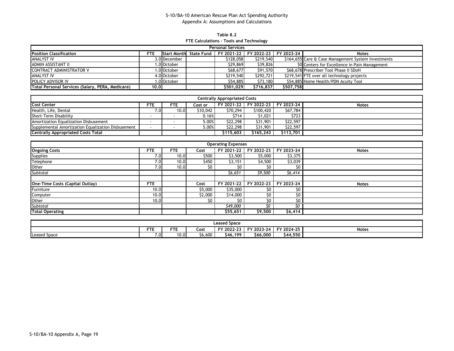**Table 8.2 FTE Calculations - Tools and Technology**

| <b>Personal Services</b>                         |      |              |                        |           |                                  |           |                                                     |  |  |  |  |  |
|--------------------------------------------------|------|--------------|------------------------|-----------|----------------------------------|-----------|-----------------------------------------------------|--|--|--|--|--|
| <b>Position Classification</b>                   | FTE  |              | Start Month State Fund |           | FY 2021-22 FY 2022-23 FY 2023-24 |           | <b>Notes</b>                                        |  |  |  |  |  |
| <b>ANALYST IV</b>                                |      | 3.0 December |                        | \$128,058 | \$219,540                        |           | \$164,655 Care & Case Management System Investments |  |  |  |  |  |
| ADMIN ASSISTANT II                               |      | 1.0 October  |                        | \$29,869  | \$39,826                         |           | \$0 Centers for Excellence in Pain Management       |  |  |  |  |  |
| <b>CONTRACT ADMINISTRATOR V</b>                  |      | 1.0 October  |                        | \$68,677  | \$91,570                         |           | \$68,678 Prescriber Tool Phase II SDoH              |  |  |  |  |  |
| <b>ANALYST IV</b>                                |      | 4.0 October  |                        | \$219,540 | \$292,721                        |           | \$219,541 FTE over all technology projects          |  |  |  |  |  |
| POLICY ADVISOR IV                                |      | 1.0 October  |                        | \$54,885  | \$73,180                         |           | \$54,885 Home Health/PDN Acuity Tool                |  |  |  |  |  |
| Total Personal Services (Salary, PERA, Medicare) | 10.0 |              |                        | \$501.029 | \$716.837                        | \$507.758 |                                                     |  |  |  |  |  |

| <b>Centrally Appropriated Costs</b>                |      |      |          |           |                                  |           |              |  |  |  |  |  |  |
|----------------------------------------------------|------|------|----------|-----------|----------------------------------|-----------|--------------|--|--|--|--|--|--|
| <b>Cost Center</b>                                 | FTE  | FTE. | Cost or  |           | FY 2021-22 FY 2022-23 FY 2023-24 |           | <b>Notes</b> |  |  |  |  |  |  |
| Health, Life, Dental                               | ا0./ | 10.0 | \$10,042 | \$70,294  | \$100,420                        | \$67,784  |              |  |  |  |  |  |  |
| Short-Term Disability                              |      |      | 0.16%    | \$714     | \$1,021                          | \$723     |              |  |  |  |  |  |  |
| Amortization Equalization Disbusement              |      |      | 5.00%    | \$22,298  | \$31,901                         | \$22,597  |              |  |  |  |  |  |  |
| Supplemental Amortization Equalization Disbusement |      |      | 5.00%    | \$22,298  | \$31,901                         | \$22,597  |              |  |  |  |  |  |  |
| <b>Centrally Appropriated Costs Total</b>          |      |      |          | \$115.603 | \$165.243                        | \$113,701 |              |  |  |  |  |  |  |

|                                 | <b>Operating Expenses</b> |            |         |            |            |            |              |  |  |  |  |  |  |  |
|---------------------------------|---------------------------|------------|---------|------------|------------|------------|--------------|--|--|--|--|--|--|--|
| <b>Ongoing Costs</b>            | <b>FTE</b>                | <b>FTE</b> | Cost    | FY 2021-22 | FY 2022-23 | FY 2023-24 | <b>Notes</b> |  |  |  |  |  |  |  |
| <b>Supplies</b>                 | 7.01                      | 10.0       | \$500   | \$3,500    | \$5,000    | \$3,375    |              |  |  |  |  |  |  |  |
| Telephone                       | 7.01                      | 10.0       | \$450   | \$3,151    | \$4,500    | \$3,039    |              |  |  |  |  |  |  |  |
| Other                           | 7.0                       | 10.0       | \$0     | S0         | \$0        | S0         |              |  |  |  |  |  |  |  |
| Subtotal                        |                           |            |         | \$6,651    | \$9,500    | \$6,414    |              |  |  |  |  |  |  |  |
|                                 |                           |            |         |            |            |            |              |  |  |  |  |  |  |  |
| One-Time Costs (Capital Outlay) | <b>FTE</b>                |            | Cost    | FY 2021-22 | FY 2022-23 | FY 2023-24 | <b>Notes</b> |  |  |  |  |  |  |  |
| Furniture                       | 10.0 <sub>1</sub>         |            | \$5,000 | \$35,000   | S0         | \$0        |              |  |  |  |  |  |  |  |
| Computer                        | 10.0                      |            | \$2,000 | \$14,000   | \$0        | \$0        |              |  |  |  |  |  |  |  |
| Other                           | 10.0                      |            | \$0     | S0         | \$0        | \$0        |              |  |  |  |  |  |  |  |
| Subtotal                        |                           |            |         | \$49,000   | SΟ         | ٢n         |              |  |  |  |  |  |  |  |
| <b>Total Operating</b>          |                           |            |         | \$55,651   | \$9,500    | \$6,414    |              |  |  |  |  |  |  |  |

|                                          | <b>Leased Space</b> |                      |             |            |            |               |              |  |  |  |  |  |
|------------------------------------------|---------------------|----------------------|-------------|------------|------------|---------------|--------------|--|--|--|--|--|
|                                          | <b>FTE</b>          | ctor <b>c</b><br>. . | <b>Cost</b> | FY 2022-23 | FY 2023-24 | FY 2024-25    | <b>Notes</b> |  |  |  |  |  |
| $\overline{\phantom{a}}$<br>Leased Space | 7.0                 | 10.0                 | \$6.600     | \$46,199   | \$66,000   | 4.550<br>S44. |              |  |  |  |  |  |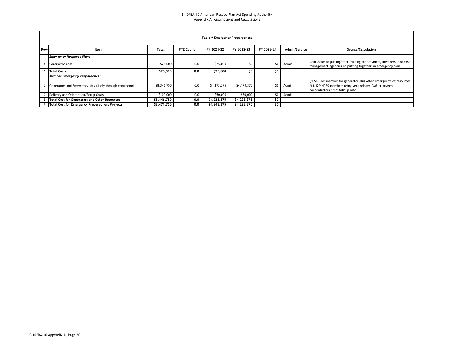|     | Table 9 Emergency Preparedness                            |             |                  |             |             |            |               |                                                                                                                                                                 |  |  |  |  |  |  |
|-----|-----------------------------------------------------------|-------------|------------------|-------------|-------------|------------|---------------|-----------------------------------------------------------------------------------------------------------------------------------------------------------------|--|--|--|--|--|--|
| Row | Item                                                      | Total       | <b>FTE Count</b> | FY 2021-22  | FY 2022-23  | FY 2023-24 | Admin/Service | Source/Calculation                                                                                                                                              |  |  |  |  |  |  |
|     | <b>Emergency Response Plans</b>                           |             |                  |             |             |            |               |                                                                                                                                                                 |  |  |  |  |  |  |
|     | <b>Contractor Cost</b>                                    | \$25,000    | 0.0              | \$25,000    | \$0         |            | \$0 Admin     | Contractor to put together training for providers, members, and case<br>management agencies on putting together an emergency plan                               |  |  |  |  |  |  |
|     | <b>B</b> Total Costs                                      | \$25,000    | 0.0              | \$25,000    | \$0         | so I       |               |                                                                                                                                                                 |  |  |  |  |  |  |
|     | <b>Member Emergency Preparedness</b>                      |             |                  |             |             |            |               |                                                                                                                                                                 |  |  |  |  |  |  |
|     | Generators and Emergency Kits (likely through contractor) | \$8,346,750 | 0.0              | \$4,173,375 | \$4,173,375 | \$0        | Admin         | \$1,500 per member for generator plus other emergency kit resources<br>*11,129 HCBS members using vent related DME or oxygen<br>concentrators * 50% takeup rate |  |  |  |  |  |  |
|     | D Delivery and Orientation/Setup Costs                    | \$100,000   | 0.0              | \$50,000    | \$50,000    |            | \$0 Admin     |                                                                                                                                                                 |  |  |  |  |  |  |
|     | E   Total Cost for Generators and Other Resources         | \$8,446,750 | 0.0              | \$4,223,375 | \$4,223,375 | so I       |               |                                                                                                                                                                 |  |  |  |  |  |  |
|     | F Total Cost for Emergency Preparedness Projects          | \$8,471,750 | $0.0$            | \$4,248,375 | \$4,223,375 | \$0        |               |                                                                                                                                                                 |  |  |  |  |  |  |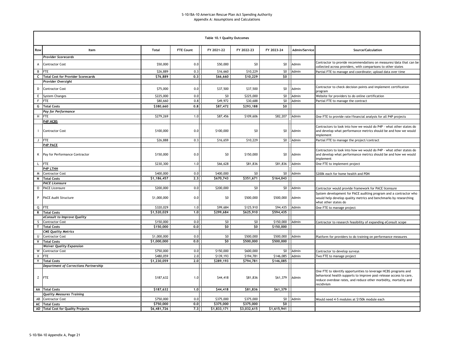|              |                                       |                         |                  | Table 10.1 Quality Outcomes |                 |                 |               |                                                                                                                                                                                                                         |
|--------------|---------------------------------------|-------------------------|------------------|-----------------------------|-----------------|-----------------|---------------|-------------------------------------------------------------------------------------------------------------------------------------------------------------------------------------------------------------------------|
| Row          | Item                                  | <b>Total</b>            | <b>FTE Count</b> | FY 2021-22                  | FY 2022-23      | FY 2023-24      | Admin/Service | Source/Calculation                                                                                                                                                                                                      |
|              | Provider Scorecards                   |                         |                  |                             |                 |                 |               |                                                                                                                                                                                                                         |
| А            | <b>Contractor Cost</b>                | \$50,000                | 0.0              | \$50,000                    | \$0             | \$0             | Admin         | Contractor to provide recommendations on measures/data that can be<br>collected across providers, with comparisons to other states                                                                                      |
|              | <b>B</b> FTE                          | \$26,889                | 0.3              | \$16,660                    | \$10,229        | 50              | Admin         | Partial FTE to manage and coordinate; upload data over time                                                                                                                                                             |
|              | C Total Cost for Provider Scorecards  | \$76,889                | 0.3              | \$66,660                    | \$10,229        | \$0             |               |                                                                                                                                                                                                                         |
|              | Provider Oversight                    |                         |                  |                             |                 |                 |               |                                                                                                                                                                                                                         |
| D            | <b>Contractor Cost</b>                | \$75,000                | 0.0              | \$37,500                    | \$37,500        | \$0             | Admin         | Contractor to check decision points and implement certification<br>program                                                                                                                                              |
| E            | <b>System Changes</b>                 | \$225,000               | 0.0              | \$0                         | \$225,000       | 50 <sub>1</sub> | Admin         | Website for providers to do online certification                                                                                                                                                                        |
| F            | <b>FTE</b>                            | \$80,660                | 0.8              | \$49,972                    | \$30,688        | 50 <sup>1</sup> | Admin         | Partial FTE to manage the contract                                                                                                                                                                                      |
|              | <b>G</b> Total Costs                  | \$380,660               | 0, 8             | \$87,472                    | \$293,188       | \$0             |               |                                                                                                                                                                                                                         |
|              | Pay for Performance                   |                         |                  |                             |                 |                 |               |                                                                                                                                                                                                                         |
| H            | <b>FTE</b>                            | \$279,269               | 1.0              | \$87,456                    | \$109,606       | \$82,207        | Admin         | One FTE to provide rate/financial analysis for all P4P projects                                                                                                                                                         |
|              | P4P HCBS                              |                         |                  |                             |                 |                 |               |                                                                                                                                                                                                                         |
|              | <b>Contractor Cost</b>                | \$100,000               | 0.0              | \$100,000                   | \$0             | \$0             | Admin         | Contractors to look into how we would do P4P - what other states do<br>and develop what performance metrics should be and how we would<br>implement                                                                     |
| J            | <b>FTE</b>                            | \$26,888                | 0.3              | \$16,659                    | \$10,229        | \$0             | Admin         | Partial FTE to manage the project/contract                                                                                                                                                                              |
|              | <b>P4P PACE</b>                       |                         |                  |                             |                 |                 |               |                                                                                                                                                                                                                         |
| Κ            | Pay for Performance Contractor        | \$150,000               | 0.0              | \$0                         | \$150,000       | \$0             | Admin         | Contractors to look into how we would do P4P - what other states do<br>and develop what performance metrics should be and how we would<br>implement                                                                     |
| L            | <b>FTE</b>                            | \$230,300               | 1.0              | \$66,628                    | \$81,836        | \$81,836        | Admin         | One FTE to implement project                                                                                                                                                                                            |
|              | <b>P4P LTHH</b>                       |                         |                  |                             |                 |                 |               |                                                                                                                                                                                                                         |
| M            | <b>Contractor Cost</b>                | \$400,000               | 0.0              | \$400,000                   | \$0             |                 | \$0   Admin   | \$200k each for home health and PDN                                                                                                                                                                                     |
|              | N Total Costs                         | $\overline{51,186,457}$ | 2.3              | \$670,743                   | \$351,671       | \$164,043       |               |                                                                                                                                                                                                                         |
|              | <b>PACE Licensure</b>                 |                         |                  |                             |                 |                 |               |                                                                                                                                                                                                                         |
| $\mathsf{O}$ | <b>PACE Licensure</b>                 | \$200,000               | 0.0              | \$200,000                   | \$0             | 50 <sub>1</sub> | Admin         | Contractor would provide framework for PACE licensure                                                                                                                                                                   |
| P            | <b>PACE Audit Structure</b>           | \$1,000,000             | 0.0              | \$0                         | \$500,000       | \$500,000       | Admin         | System development for PACE auditing program and a contractor who<br>would help develop quality metrics and benchmarks by researching<br>what other states do                                                           |
|              | Q FTE                                 | \$320,029               | 1.0              | \$99,684                    | \$125,910       | \$94,435        | Admin         | One FTE to manage project                                                                                                                                                                                               |
|              | R Total Costs                         | \$1,520,029             | 1.0              | \$299,684                   | \$625,910       | \$594,435       |               |                                                                                                                                                                                                                         |
|              | eConsult to Improve Quality           |                         |                  |                             |                 |                 |               |                                                                                                                                                                                                                         |
| s I          | <b>Contractor Cost</b>                | \$150,000               | 0.0              | \$0                         | 50 <sub>2</sub> | \$150,000 Admin |               | Contractor to research feasibility of expanding eConsult scope                                                                                                                                                          |
|              | T Total Costs                         | \$150,000               | 0.0              | \$0                         | \$0             | \$150,000       |               |                                                                                                                                                                                                                         |
|              | <b>CMS Quality Metrics</b>            |                         |                  |                             |                 |                 |               |                                                                                                                                                                                                                         |
| U            | <b>Contractor Cost</b>                | \$1,000,000             | 0.0              | \$0                         | \$500,000       | \$500,000       | Admin         | Platform for providers to do training on performance measures                                                                                                                                                           |
| V            | <b>Total Costs</b>                    | \$1,000,000             | 0.0              | \$0                         | \$500,000       | \$500,000       |               |                                                                                                                                                                                                                         |
|              | <b>Waiver Quality Expansion</b>       |                         |                  |                             |                 |                 |               |                                                                                                                                                                                                                         |
| W            | <b>Contractor Cost</b>                | \$750,000               | 0.0              | \$150,000                   | \$600,000       |                 | \$0 Admin     | Contractor to develop surveys                                                                                                                                                                                           |
| X            | FTE                                   | \$480,059               | 2.0              | \$139,193                   | \$194,781       | \$146,085 Admin |               | Two FTE to manage project                                                                                                                                                                                               |
| Y            | <b>Total Costs</b>                    | \$1,230,059             | 2,0              | \$289,193                   | \$794,781       | \$146,085       |               |                                                                                                                                                                                                                         |
|              | Department of Corrections Partnership |                         |                  |                             |                 |                 |               |                                                                                                                                                                                                                         |
|              | Z FTE                                 | \$187,632               | 1.0              | \$44,418                    | \$81,836        | \$61,379        | Admin         | One FTE to identify opportunities to leverage HCBS programs and<br>behavioral health supports to improve post-release access to care,<br>reduce overdose rates, and reduce other morbidity, mortality and<br>recidivism |
|              | <b>AA</b> Total Costs                 | \$187,632               | 1.0              | \$44,418                    | \$81,836        | \$61,379        |               |                                                                                                                                                                                                                         |
|              | <b>Quality Measures Training</b>      |                         |                  |                             |                 |                 |               |                                                                                                                                                                                                                         |
|              | AB Contractor Cost                    | \$750,000               | 0.0              | \$375,000                   | \$375,000       |                 | \$0 Admin     | Would need 4-5 modules at \$150k module each                                                                                                                                                                            |
|              | <b>AC</b> Total Costs                 | \$750,000               | 0.0              | \$375,000                   | \$375,000       | \$0             |               |                                                                                                                                                                                                                         |
|              | AD Total Cost for Quality Projects    | \$6,481,726             | 7,3              | \$1,833,171                 | \$3,032,615     | \$1,615,941     |               |                                                                                                                                                                                                                         |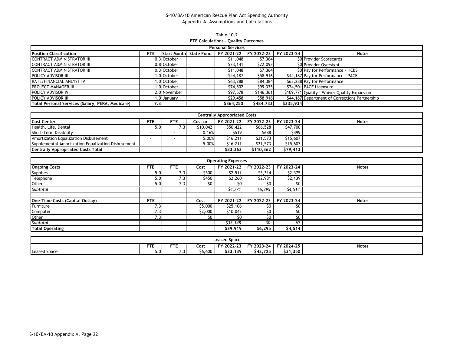**Table 10.2 FTE Calculations - Quality Outcomes**

|                                                  | <b>Personal Services</b> |              |                        |           |                       |            |                                                |  |  |  |  |  |  |  |
|--------------------------------------------------|--------------------------|--------------|------------------------|-----------|-----------------------|------------|------------------------------------------------|--|--|--|--|--|--|--|
| <b>Position Classification</b>                   | FTE                      |              | Start Month State Fund |           | FY 2021-22 FY 2022-23 | FY 2023-24 | <b>Notes</b>                                   |  |  |  |  |  |  |  |
| CONTRACT ADMINISTRATOR III                       |                          | 0.3 October  |                        | \$11,048  | \$7,364               |            | \$0 Provider Scorecards                        |  |  |  |  |  |  |  |
| CONTRACT ADMINISTRATOR III                       |                          | 0.8 October  |                        | \$33,141  | \$22,093              |            | \$0 Provider Oversight                         |  |  |  |  |  |  |  |
| CONTRACT ADMINISTRATOR III                       |                          | 0.3 October  |                        | \$11,048  | \$7,364               |            | \$0 Pay for Performance - HCBS                 |  |  |  |  |  |  |  |
| POLICY ADVISOR III                               |                          | .0 October   |                        | \$44,187  | \$58,916              |            | \$44,187 Pay for Performance - PACE            |  |  |  |  |  |  |  |
| RATE/FINANCIAL ANLYST IV                         |                          | 1.0 October  |                        | \$63,288  | \$84,384              |            | \$63,288 Pay for Performance                   |  |  |  |  |  |  |  |
| <b>PROJECT MANAGER III</b>                       |                          | 1.0 October  |                        | \$74,502  | \$99,335              |            | \$74,501 PACE Licensure                        |  |  |  |  |  |  |  |
| <b>POLICY ADVISOR IV</b>                         |                          | 2.0 November |                        | \$97,578  | \$146,361             |            | \$109,771 Quality - Waiver Quality Expansion   |  |  |  |  |  |  |  |
| POLICY ADVISOR III                               |                          | 1.0 January  |                        | \$29,458  | \$58,916              |            | \$44,187 Department of Corrections Partnership |  |  |  |  |  |  |  |
| Total Personal Services (Salary, PERA, Medicare) | 7.3                      |              |                        | \$364,250 | \$484,733             | \$335,934  |                                                |  |  |  |  |  |  |  |

| <b>Centrally Appropriated Costs</b>                |            |     |          |          |           |                                  |              |  |  |  |  |  |
|----------------------------------------------------|------------|-----|----------|----------|-----------|----------------------------------|--------------|--|--|--|--|--|
| <b>Cost Center</b>                                 | <b>FTE</b> | FTE | Cost or  |          |           | FY 2021-22 FY 2022-23 FY 2023-24 | <b>Notes</b> |  |  |  |  |  |
| Health, Life, Dental                               | 5.0        |     | \$10,042 | \$50,422 | \$66,528  | \$47,700                         |              |  |  |  |  |  |
| Short-Term Disability                              |            |     | 0.16%    | \$519    | \$688     | \$499                            |              |  |  |  |  |  |
| Amortization Equalization Disbusement              |            |     | 5.00%    | \$16,211 | \$21,573  | \$15,607                         |              |  |  |  |  |  |
| Supplemental Amortization Equalization Disbusement |            |     | 5.00%    | \$16,211 | \$21,573  | \$15,607                         |              |  |  |  |  |  |
| <b>Centrally Appropriated Costs Total</b>          |            |     |          | \$83.363 | \$110.362 | \$79,413                         |              |  |  |  |  |  |

|                                 | <b>Operating Expenses</b> |                     |         |            |            |            |              |  |  |  |  |  |  |  |
|---------------------------------|---------------------------|---------------------|---------|------------|------------|------------|--------------|--|--|--|--|--|--|--|
| <b>Ongoing Costs</b>            | <b>FTE</b>                | <b>FTE</b>          | Cost    | FY 2021-22 | FY 2022-23 | FY 2023-24 | <b>Notes</b> |  |  |  |  |  |  |  |
| <b>Supplies</b>                 | 5.0                       | 7.3                 | \$500   | \$2,511    | \$3,314    | \$2,375    |              |  |  |  |  |  |  |  |
| Telephone                       | 5.0                       | 7.3                 | \$450   | \$2,260    | \$2,981    | \$2,139    |              |  |  |  |  |  |  |  |
| Other                           | 5.01                      | $\left( .3 \right)$ | \$0     | S0         | \$0        |            |              |  |  |  |  |  |  |  |
| Subtotal                        |                           |                     |         | \$4,771    | \$6,295    | 54,514     |              |  |  |  |  |  |  |  |
|                                 |                           |                     |         |            |            |            |              |  |  |  |  |  |  |  |
| One-Time Costs (Capital Outlay) | <b>FTE</b>                |                     | Cost    | FY 2021-22 | FY 2022-23 | FY 2023-24 | <b>Notes</b> |  |  |  |  |  |  |  |
| Furniture                       | 7.3                       |                     | \$5,000 | \$25,106   | S0         | S0         |              |  |  |  |  |  |  |  |
| Computer                        | 7.3                       |                     | \$2,000 | \$10,042   | \$0        | \$0        |              |  |  |  |  |  |  |  |
| Other                           | 7.3                       |                     | \$0     | \$0        | \$0        | \$O        |              |  |  |  |  |  |  |  |
| <b>Subtotal</b>                 |                           |                     |         | \$35.148   | Ś٥         | SO.        |              |  |  |  |  |  |  |  |
| <b>Total Operating</b>          |                           |                     |         | \$39,919   | \$6,295    | \$4,514    |              |  |  |  |  |  |  |  |

|                     | <b>Leased Space</b>                                                                       |                                 |         |          |          |          |  |  |  |  |  |  |
|---------------------|-------------------------------------------------------------------------------------------|---------------------------------|---------|----------|----------|----------|--|--|--|--|--|--|
|                     | <b>FTE</b><br>--<br>FY 2024-25<br>FY 2022-23<br>FY 2023-24<br><b>Notes</b><br>Cost<br>. . |                                 |         |          |          |          |  |  |  |  |  |  |
| <b>Leased Space</b> | ا 0.د                                                                                     | $\overline{\phantom{0}}$<br>. . | \$6,600 | \$33,139 | \$43.725 | \$31.350 |  |  |  |  |  |  |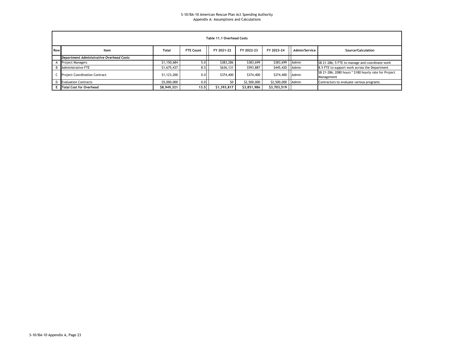|     | Table 11.1 Overhead Costs                                                                                          |             |      |             |             |                   |  |                                                                     |  |  |  |  |  |  |  |
|-----|--------------------------------------------------------------------------------------------------------------------|-------------|------|-------------|-------------|-------------------|--|---------------------------------------------------------------------|--|--|--|--|--|--|--|
| Row | <b>FTE Count</b><br>FY 2022-23<br>FY 2023-24<br>Admin/Service<br>Total<br>FY 2021-22<br>Source/Calculation<br>Item |             |      |             |             |                   |  |                                                                     |  |  |  |  |  |  |  |
|     | Department Administrative Overhead Costs                                                                           |             |      |             |             |                   |  |                                                                     |  |  |  |  |  |  |  |
|     | <b>Project Managers</b>                                                                                            | \$1,150,684 | 5.0  | \$383,286   | \$383,699   | \$383,699 Admin   |  | SB 21-286; 5 FTE to manage and coordinate work                      |  |  |  |  |  |  |  |
|     | <b>B</b> Administrative FTE                                                                                        | \$1,675,437 | 8.5  | \$636,131   | \$593,887   | \$445,420   Admin |  | 8.5 FTE to support work across the Department                       |  |  |  |  |  |  |  |
|     | <b>C</b> Project Coordination Contract                                                                             | \$1,123,200 | 0.0  | \$374,400   | \$374,400   | \$374,400 Admin   |  | SB 21-286; 2080 hours * \$180 hourly rate for Project<br>Management |  |  |  |  |  |  |  |
|     | <b>D</b> Evaluation Contracts                                                                                      | \$5,000,000 | 0.0  | SO.         | \$2,500,000 | \$2,500,000 Admin |  | Contractors to evaluate various programs                            |  |  |  |  |  |  |  |
|     | <b>E</b> Total Cost for Overhead                                                                                   | \$8,949,321 | 13.5 | \$1,393,817 | \$3,851,986 | \$3,703,519       |  |                                                                     |  |  |  |  |  |  |  |